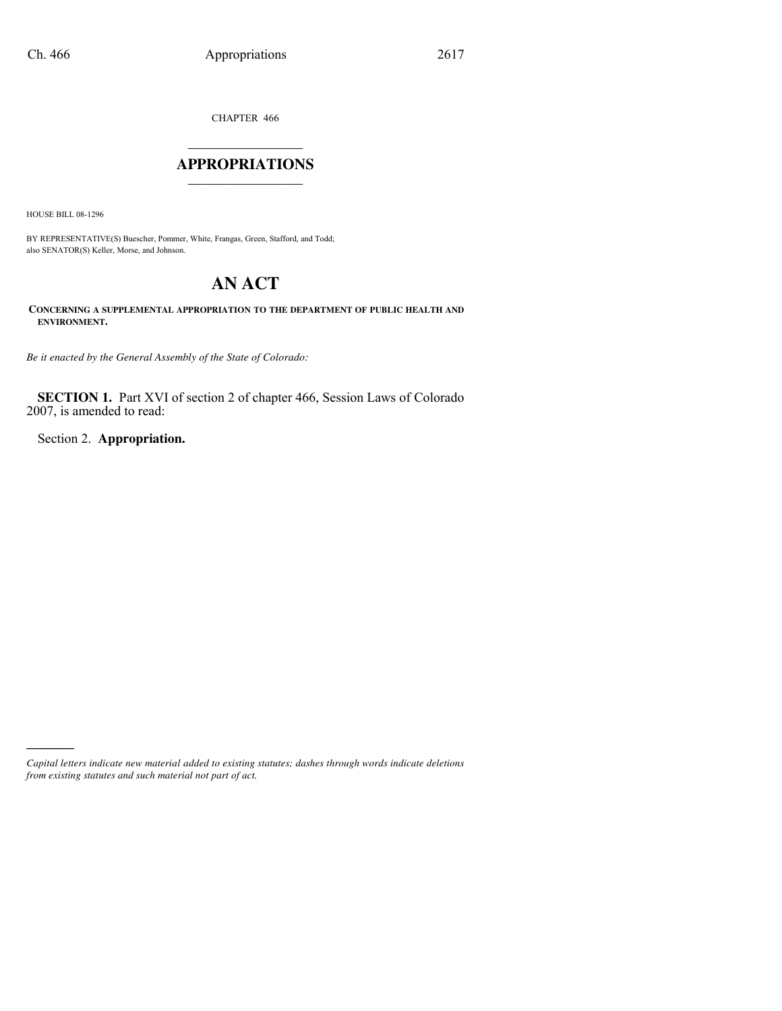CHAPTER 466

# $\mathcal{L}_\text{max}$  . The set of the set of the set of the set of the set of the set of the set of the set of the set of the set of the set of the set of the set of the set of the set of the set of the set of the set of the set **APPROPRIATIONS** \_\_\_\_\_\_\_\_\_\_\_\_\_\_\_

HOUSE BILL 08-1296

)))))

BY REPRESENTATIVE(S) Buescher, Pommer, White, Frangas, Green, Stafford, and Todd; also SENATOR(S) Keller, Morse, and Johnson.

# **AN ACT**

**CONCERNING A SUPPLEMENTAL APPROPRIATION TO THE DEPARTMENT OF PUBLIC HEALTH AND ENVIRONMENT.**

*Be it enacted by the General Assembly of the State of Colorado:*

**SECTION 1.** Part XVI of section 2 of chapter 466, Session Laws of Colorado 2007, is amended to read:

Section 2. **Appropriation.**

*Capital letters indicate new material added to existing statutes; dashes through words indicate deletions from existing statutes and such material not part of act.*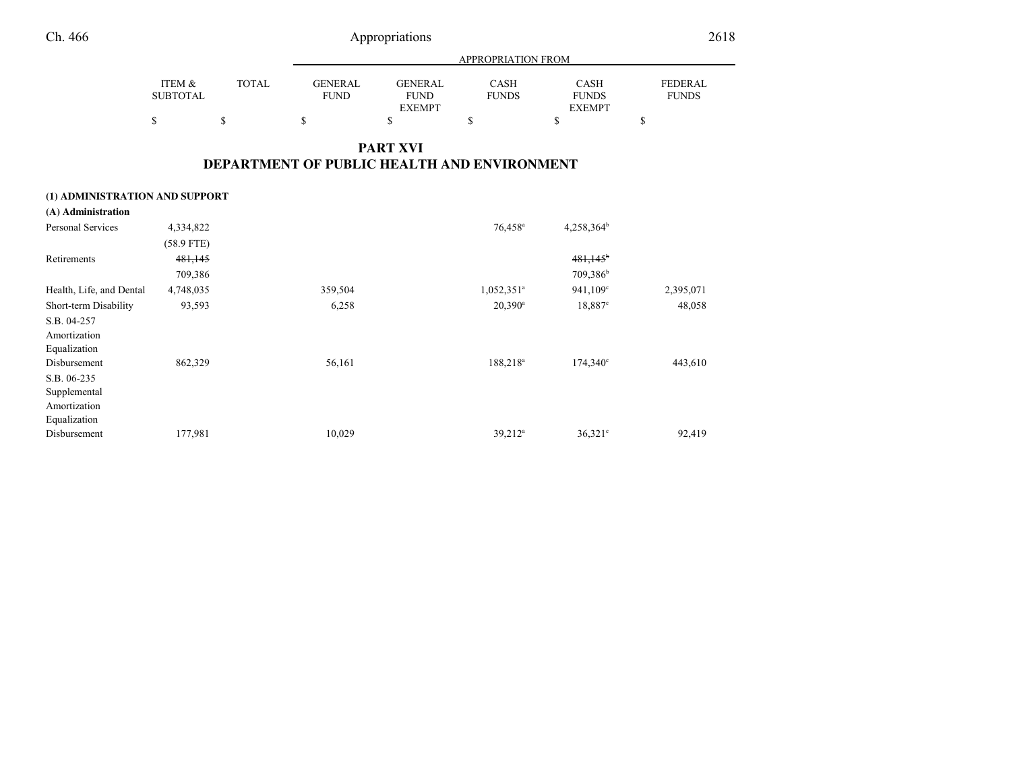| Appropriations |
|----------------|
|----------------|

|                 |       |         |                | <b>APPROPRIATION FROM</b> |               |                |
|-----------------|-------|---------|----------------|---------------------------|---------------|----------------|
| ITEM &          | TOTAL | GENERAL | <b>GENERAL</b> | CASH                      | <b>CASH</b>   | <b>FEDERAL</b> |
| <b>SUBTOTAL</b> |       | FUND    | <b>FUND</b>    | <b>FUNDS</b>              | <b>FUNDS</b>  | <b>FUNDS</b>   |
|                 |       |         | <b>EXEMPT</b>  |                           | <b>EXEMPT</b> |                |
|                 |       |         |                |                           |               |                |

# **PART XVIDEPARTMENT OF PUBLIC HEALTH AND ENVIRONMENT**

### **(1) ADMINISTRATION AND SUPPORT**

| (A) Administration       |              |         |                          |                        |           |
|--------------------------|--------------|---------|--------------------------|------------------------|-----------|
| Personal Services        | 4,334,822    |         | $76,458^{\circ}$         | $4,258,364^b$          |           |
|                          | $(58.9$ FTE) |         |                          |                        |           |
| Retirements              | 481,145      |         |                          | $481,145$ <sup>b</sup> |           |
|                          | 709,386      |         |                          | 709,386 <sup>b</sup>   |           |
| Health, Life, and Dental | 4,748,035    | 359,504 | $1,052,351$ <sup>a</sup> | 941,109°               | 2,395,071 |
| Short-term Disability    | 93,593       | 6,258   | $20,390^a$               | 18,887 <sup>c</sup>    | 48,058    |
| S.B. 04-257              |              |         |                          |                        |           |
| Amortization             |              |         |                          |                        |           |
| Equalization             |              |         |                          |                        |           |
| Disbursement             | 862,329      | 56,161  | $188,218^a$              | $174,340^{\circ}$      | 443,610   |
| S.B. 06-235              |              |         |                          |                        |           |
| Supplemental             |              |         |                          |                        |           |
| Amortization             |              |         |                          |                        |           |
| Equalization             |              |         |                          |                        |           |
| Disbursement             | 177,981      | 10,029  | $39,212^a$               | $36,321$ °             | 92,419    |
|                          |              |         |                          |                        |           |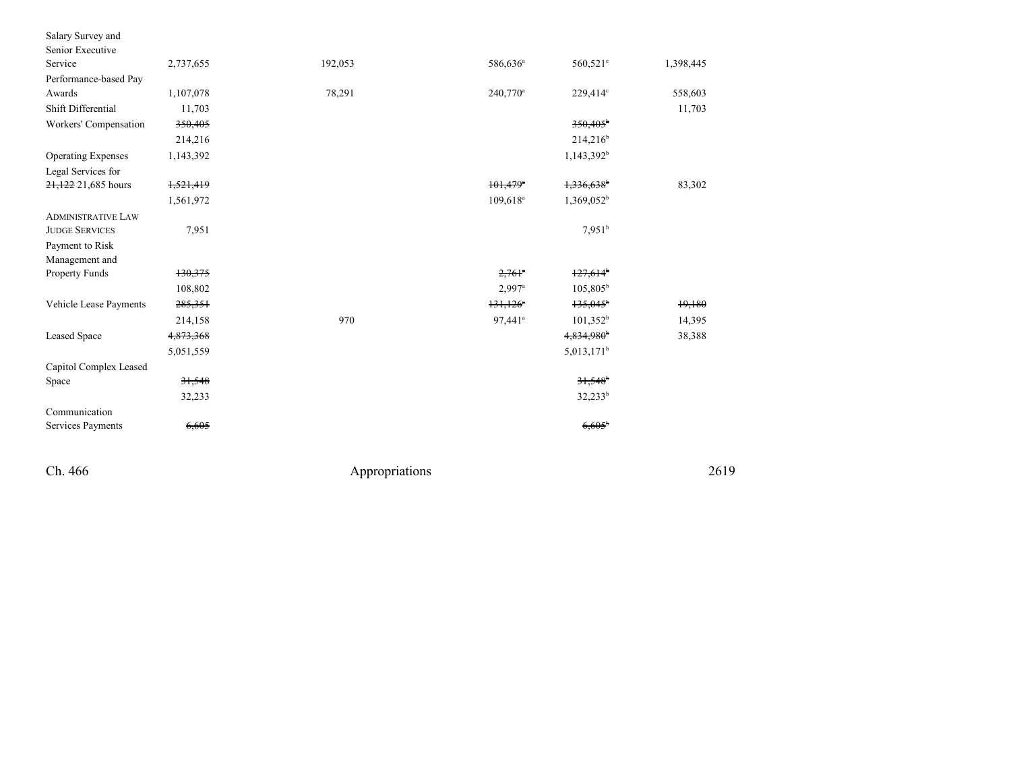| Salary Survey and         |           |         |                        |                          |           |
|---------------------------|-----------|---------|------------------------|--------------------------|-----------|
| Senior Executive          |           |         |                        |                          |           |
| Service                   | 2,737,655 | 192,053 | 586,636 <sup>a</sup>   | 560,521 <sup>c</sup>     | 1,398,445 |
| Performance-based Pay     |           |         |                        |                          |           |
| Awards                    | 1,107,078 | 78,291  | $240,770^{\circ}$      | 229,414°                 | 558,603   |
| Shift Differential        | 11,703    |         |                        |                          | 11,703    |
| Workers' Compensation     | 350,405   |         |                        | $350.405^{\circ}$        |           |
|                           | 214,216   |         |                        | $214,216^b$              |           |
| <b>Operating Expenses</b> | 1,143,392 |         |                        | 1,143,392 <sup>b</sup>   |           |
| Legal Services for        |           |         |                        |                          |           |
| 21,122 21,685 hours       | 1,521,419 |         | $101,479$ <sup>*</sup> | $1,336,638$ <sup>b</sup> | 83,302    |
|                           | 1,561,972 |         | $109,618^a$            | $1,369,052^b$            |           |
| <b>ADMINISTRATIVE LAW</b> |           |         |                        |                          |           |
| <b>JUDGE SERVICES</b>     | 7,951     |         |                        | $7,951^b$                |           |
| Payment to Risk           |           |         |                        |                          |           |
| Management and            |           |         |                        |                          |           |
| Property Funds            | 130,375   |         | $2,761$ <sup>a</sup>   | $127,614$ <sup>b</sup>   |           |
|                           | 108,802   |         | $2,997$ <sup>a</sup>   | $105,805^{\rm b}$        |           |
| Vehicle Lease Payments    | 285,351   |         | $131,126$ <sup>*</sup> | $135,045^{\circ}$        | 19,180    |
|                           | 214,158   | 970     | 97,441 <sup>a</sup>    | 101,352 <sup>b</sup>     | 14,395    |
| <b>Leased Space</b>       | 4,873,368 |         |                        | 4,834,980 <sup>b</sup>   | 38,388    |
|                           | 5,051,559 |         |                        | 5,013,171 <sup>b</sup>   |           |
| Capitol Complex Leased    |           |         |                        |                          |           |
| Space                     | 31,548    |         |                        | $31,548$ <sup>b</sup>    |           |
|                           | 32,233    |         |                        | $32,233^b$               |           |
| Communication             |           |         |                        |                          |           |
| Services Payments         | 6,605     |         |                        | 6,605                    |           |

Ch. 466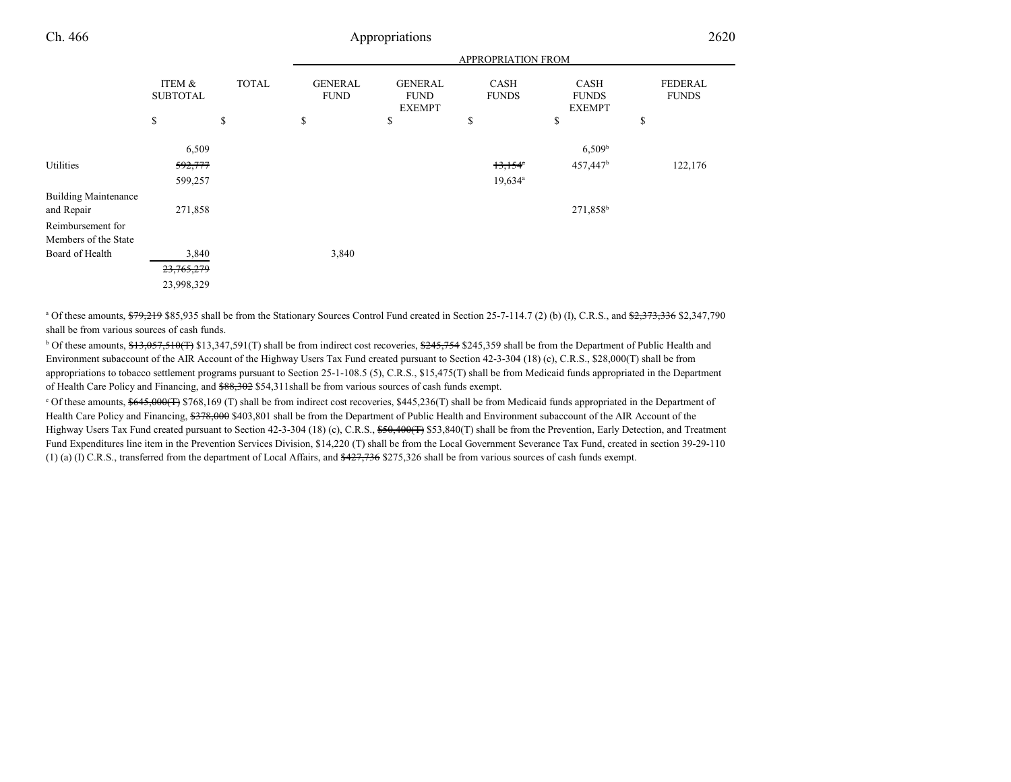| Ch. 466                                   |                           |              |                               | Appropriations                                 |                             |                                              | 2620                           |
|-------------------------------------------|---------------------------|--------------|-------------------------------|------------------------------------------------|-----------------------------|----------------------------------------------|--------------------------------|
|                                           |                           |              |                               |                                                | <b>APPROPRIATION FROM</b>   |                                              |                                |
|                                           | ITEM &<br><b>SUBTOTAL</b> | <b>TOTAL</b> | <b>GENERAL</b><br><b>FUND</b> | <b>GENERAL</b><br><b>FUND</b><br><b>EXEMPT</b> | <b>CASH</b><br><b>FUNDS</b> | <b>CASH</b><br><b>FUNDS</b><br><b>EXEMPT</b> | <b>FEDERAL</b><br><b>FUNDS</b> |
|                                           | \$                        | \$           | \$                            | \$                                             | \$                          | \$                                           | \$                             |
|                                           | 6,509                     |              |                               |                                                |                             | $6,509^b$                                    |                                |
| Utilities                                 | 592,777                   |              |                               |                                                | $13,154^{\circ}$            | 457,447 <sup>b</sup>                         | 122,176                        |
|                                           | 599,257                   |              |                               |                                                | $19,634$ <sup>a</sup>       |                                              |                                |
| <b>Building Maintenance</b><br>and Repair | 271,858                   |              |                               |                                                |                             | 271,858 <sup>b</sup>                         |                                |
| Reimbursement for                         |                           |              |                               |                                                |                             |                                              |                                |
| Members of the State                      |                           |              |                               |                                                |                             |                                              |                                |
| Board of Health                           | 3,840                     |              | 3,840                         |                                                |                             |                                              |                                |
|                                           | 23,765,279                |              |                               |                                                |                             |                                              |                                |
|                                           | 23,998,329                |              |                               |                                                |                             |                                              |                                |

<sup>a</sup> Of these amounts,  $\frac{679,219}{285,935}$  shall be from the Stationary Sources Control Fund created in Section 25-7-114.7 (2) (b) (I), C.R.S., and  $\frac{62,373,336}{22,347,790}$ shall be from various sources of cash funds.

 $b$  Of these amounts,  $\frac{13,057,510(T)}{31,347,591(T)}$  shall be from indirect cost recoveries,  $\frac{245,754}{3245,359}$  shall be from the Department of Public Health and Environment subaccount of the AIR Account of the Highway Users Tax Fund created pursuant to Section 42-3-304 (18) (c), C.R.S., \$28,000(T) shall be from appropriations to tobacco settlement programs pursuant to Section 25-1-108.5 (5), C.R.S., \$15,475(T) shall be from Medicaid funds appropriated in the Departmentof Health Care Policy and Financing, and \$88,302 \$54,311shall be from various sources of cash funds exempt.

 $c$  Of these amounts,  $\frac{645,000(F)}{2768,169(T)}$  \$768,169 (T) shall be from indirect cost recoveries, \$445,236(T) shall be from Medicaid funds appropriated in the Department of Health Care Policy and Financing, \$378,000 \$403,801 shall be from the Department of Public Health and Environment subaccount of the AIR Account of the Highway Users Tax Fund created pursuant to Section 42-3-304 (18) (c), C.R.S., \$50,400(T) \$53,840(T) shall be from the Prevention, Early Detection, and Treatment Fund Expenditures line item in the Prevention Services Division, \$14,220 (T) shall be from the Local Government Severance Tax Fund, created in section 39-29-110(1) (a) (I) C.R.S., transferred from the department of Local Affairs, and  $\frac{427,736}{275,326}$  shall be from various sources of cash funds exempt.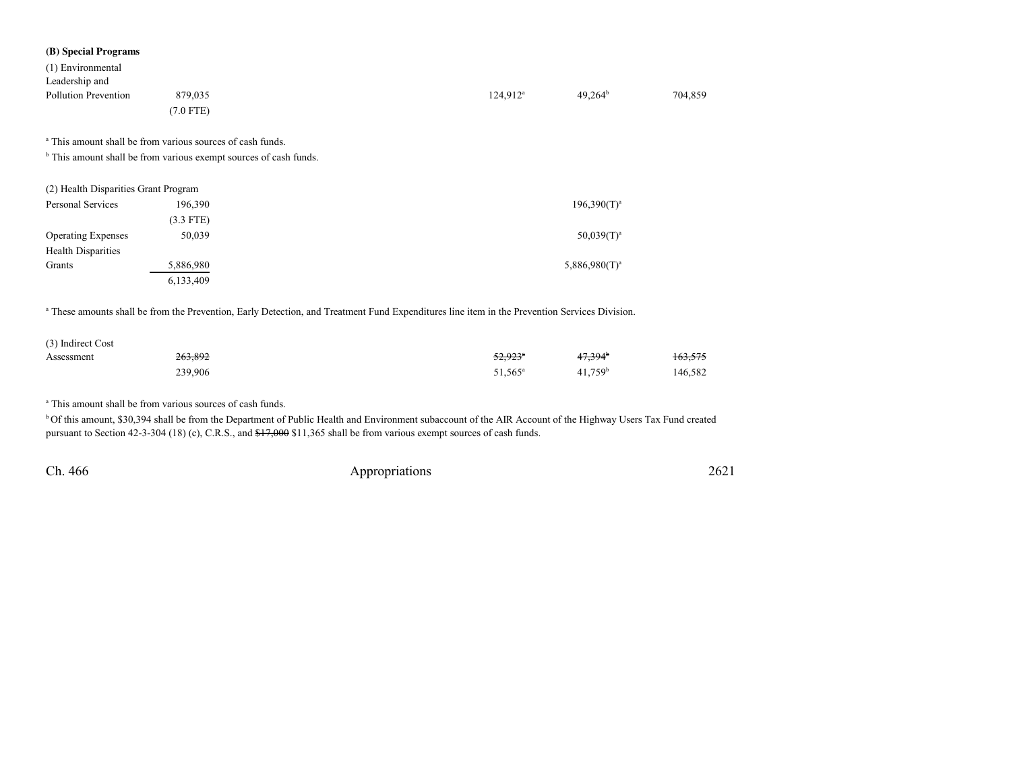| (B) Special Programs                 |                                                                              |             |                  |         |
|--------------------------------------|------------------------------------------------------------------------------|-------------|------------------|---------|
| (1) Environmental                    |                                                                              |             |                  |         |
| Leadership and                       |                                                                              |             |                  |         |
| <b>Pollution Prevention</b>          | 879,035                                                                      | $124,912^a$ | $49,264^b$       | 704,859 |
|                                      | $(7.0$ FTE)                                                                  |             |                  |         |
|                                      | <sup>a</sup> This amount shall be from various sources of cash funds.        |             |                  |         |
|                                      | <sup>b</sup> This amount shall be from various exempt sources of cash funds. |             |                  |         |
| (2) Health Disparities Grant Program |                                                                              |             |                  |         |
| Personal Services                    | 196,390                                                                      |             | $196,390(T)^a$   |         |
|                                      | $(3.3$ FTE)                                                                  |             |                  |         |
| <b>Operating Expenses</b>            | 50,039                                                                       |             | $50,039(T)^a$    |         |
| <b>Health Disparities</b>            |                                                                              |             |                  |         |
| Grants                               | 5,886,980                                                                    |             | $5,886,980(T)^a$ |         |
|                                      | 6,133,409                                                                    |             |                  |         |

<sup>a</sup> These amounts shall be from the Prevention, Early Detection, and Treatment Fund Expenditures line item in the Prevention Services Division.

| (3) Indirect Cost |         |                     |                       |                    |
|-------------------|---------|---------------------|-----------------------|--------------------|
| Assessment        | 263,892 | <del>52.923</del> * | $47.394$ <sup>b</sup> | <del>163,575</del> |
|                   | 239,906 | 51,565 <sup>a</sup> | $41,759$ <sup>b</sup> | 146,582            |

<sup>a</sup> This amount shall be from various sources of cash funds.

<sup>b</sup> Of this amount, \$30,394 shall be from the Department of Public Health and Environment subaccount of the AIR Account of the Highway Users Tax Fund created pursuant to Section 42-3-304 (18) (c), C.R.S., and  $\frac{47,000}{1,365}$  shall be from various exempt sources of cash funds.

Ch. 466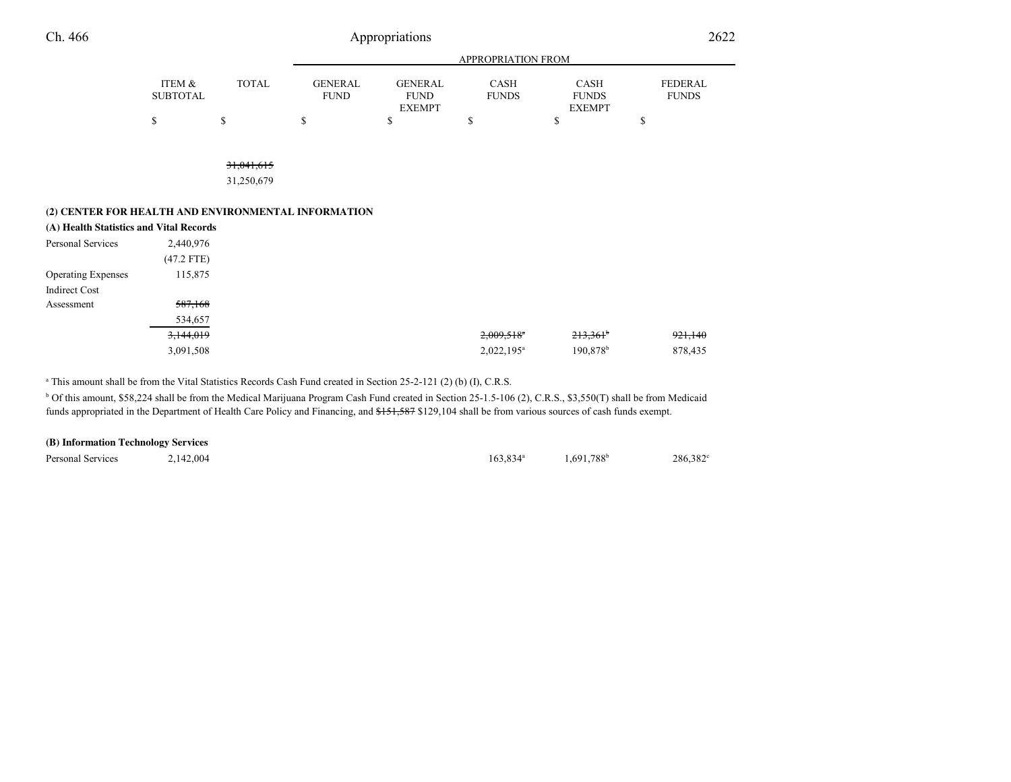| Ch. 466                                             |                           |                          |                               | Appropriations                                 |                          |                                              | 2622                           |
|-----------------------------------------------------|---------------------------|--------------------------|-------------------------------|------------------------------------------------|--------------------------|----------------------------------------------|--------------------------------|
|                                                     |                           |                          |                               |                                                | APPROPRIATION FROM       |                                              |                                |
|                                                     | ITEM &<br><b>SUBTOTAL</b> | <b>TOTAL</b>             | <b>GENERAL</b><br><b>FUND</b> | <b>GENERAL</b><br><b>FUND</b><br><b>EXEMPT</b> | CASH<br><b>FUNDS</b>     | <b>CASH</b><br><b>FUNDS</b><br><b>EXEMPT</b> | <b>FEDERAL</b><br><b>FUNDS</b> |
|                                                     | \$                        | \$                       | \$                            | \$                                             | \$                       | \$                                           | \$                             |
|                                                     |                           | 31,041,615<br>31,250,679 |                               |                                                |                          |                                              |                                |
| (2) CENTER FOR HEALTH AND ENVIRONMENTAL INFORMATION |                           |                          |                               |                                                |                          |                                              |                                |
| (A) Health Statistics and Vital Records             |                           |                          |                               |                                                |                          |                                              |                                |
| Personal Services                                   | 2,440,976                 |                          |                               |                                                |                          |                                              |                                |
|                                                     | $(47.2$ FTE)              |                          |                               |                                                |                          |                                              |                                |
| <b>Operating Expenses</b>                           | 115,875                   |                          |                               |                                                |                          |                                              |                                |
| <b>Indirect Cost</b>                                |                           |                          |                               |                                                |                          |                                              |                                |
| Assessment                                          | 587,168                   |                          |                               |                                                |                          |                                              |                                |
|                                                     | 534,657                   |                          |                               |                                                |                          |                                              |                                |
|                                                     | 3,144,019                 |                          |                               |                                                | $2,009,518$ <sup>a</sup> | $213,361$ <sup>b</sup>                       | 921,140                        |
|                                                     | 3,091,508                 |                          |                               |                                                | 2,022,195 <sup>a</sup>   | 190,878 <sup>b</sup>                         | 878,435                        |

<sup>a</sup> This amount shall be from the Vital Statistics Records Cash Fund created in Section 25-2-121 (2) (b) (I), C.R.S.

b Of this amount, \$58,224 shall be from the Medical Marijuana Program Cash Fund created in Section 25-1.5-106 (2), C.R.S., \$3,550(T) shall be from Medicaidfunds appropriated in the Department of Health Care Policy and Financing, and \$151,587 \$129,104 shall be from various sources of cash funds exempt.

| (B) Information Technology Services |           |                   |               |         |
|-------------------------------------|-----------|-------------------|---------------|---------|
| Personal Services                   | 2.142.004 | $163.834^{\circ}$ | $1.691.788^b$ | 286,382 |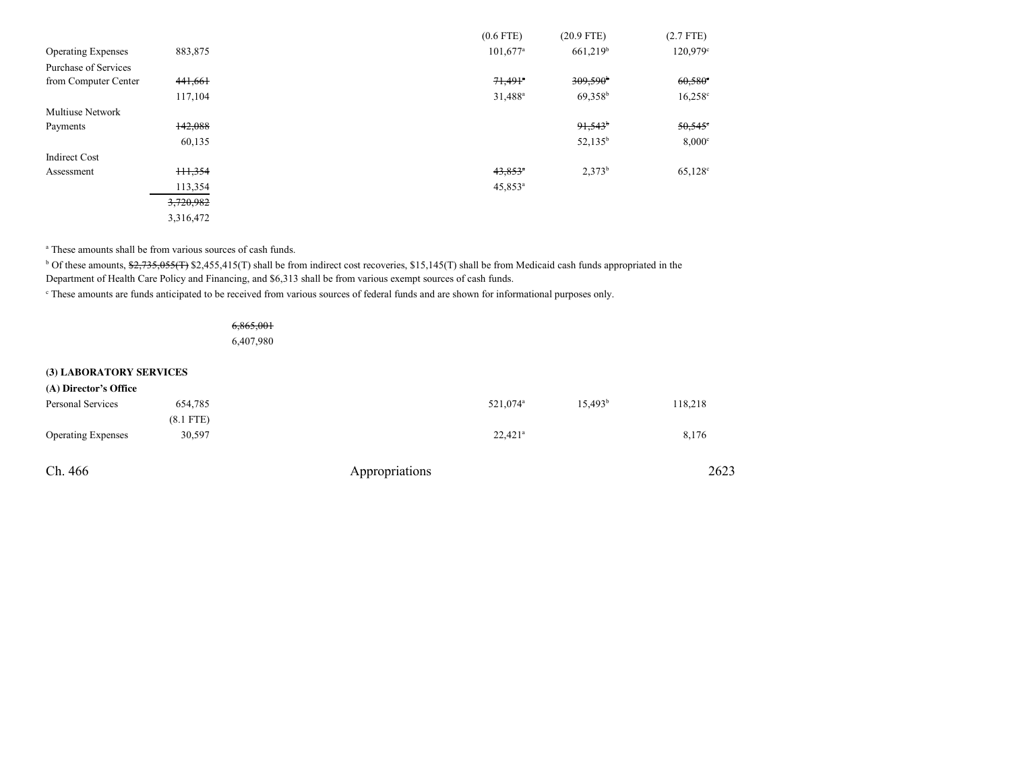|                           |           | $(0.6$ FTE)            | $(20.9$ FTE)           | $(2.7$ FTE)      |
|---------------------------|-----------|------------------------|------------------------|------------------|
| <b>Operating Expenses</b> | 883,875   | $101,677$ <sup>a</sup> | $661,219$ <sup>b</sup> | 120,979°         |
| Purchase of Services      |           |                        |                        |                  |
| from Computer Center      | 441,661   | $71,491$ <sup>a</sup>  | 309,590                | $60,580^{\circ}$ |
|                           | 117,104   | 31,488 <sup>a</sup>    | $69,358^b$             | $16,258^{\circ}$ |
| <b>Multiuse Network</b>   |           |                        |                        |                  |
| Payments                  | 142,088   |                        | 91,543                 | $50,545$ °       |
|                           | 60,135    |                        | $52,135^b$             | $8,000^\circ$    |
| <b>Indirect Cost</b>      |           |                        |                        |                  |
| Assessment                | H1,354    | $43.853$ <sup>a</sup>  | $2,373^b$              | $65,128^{\circ}$ |
|                           | 113,354   | $45,853^{\circ}$       |                        |                  |
|                           | 3,720,982 |                        |                        |                  |
|                           | 3,316,472 |                        |                        |                  |

<sup>a</sup> These amounts shall be from various sources of cash funds.

<sup>b</sup> Of these amounts, \$2,735,055(T) \$2,455,415(T) shall be from indirect cost recoveries, \$15,145(T) shall be from Medicaid cash funds appropriated in the Department of Health Care Policy and Financing, and \$6,313 shall be from various exempt sources of cash funds.

<sup>c</sup> These amounts are funds anticipated to be received from various sources of federal funds and are shown for informational purposes only.

| 6,865,001 |
|-----------|
| 6,407,980 |

**(3) LABORATORY SERVICES**

| (A) Director's Office     |             |                |                       |            |         |
|---------------------------|-------------|----------------|-----------------------|------------|---------|
| Personal Services         | 654,785     |                | 521,074 <sup>a</sup>  | $15,493^b$ | 118,218 |
|                           | $(8.1$ FTE) |                |                       |            |         |
| <b>Operating Expenses</b> | 30,597      |                | $22.421$ <sup>a</sup> |            | 8,176   |
|                           |             |                |                       |            |         |
| Ch. 466                   |             | Appropriations |                       |            | 2623    |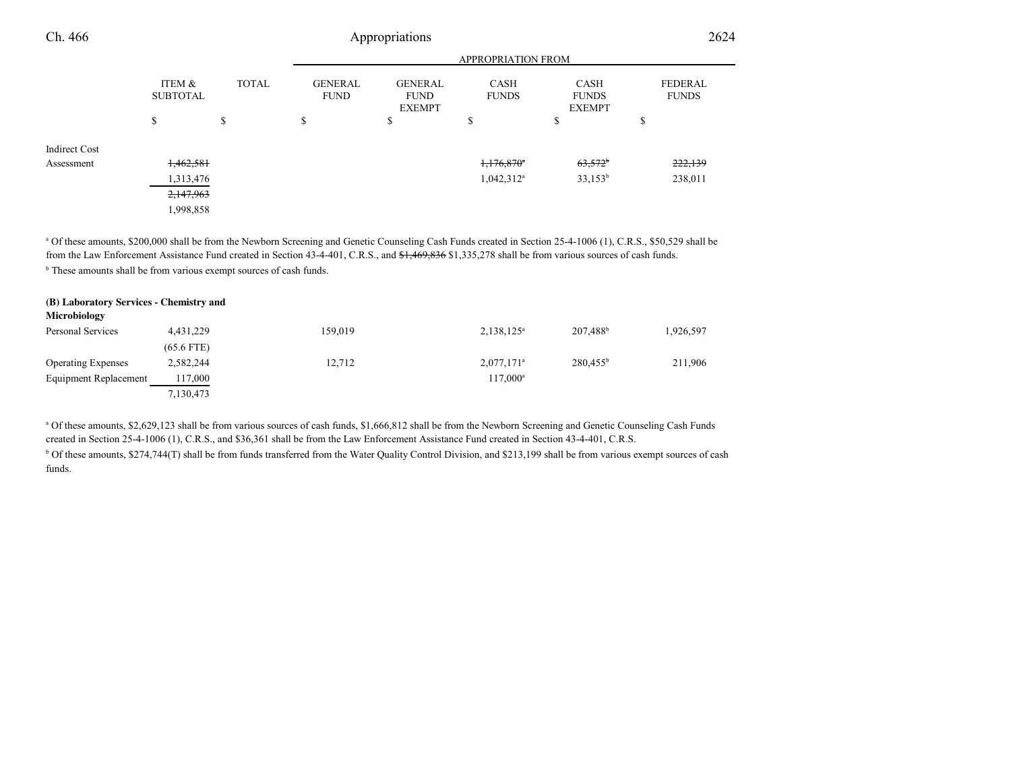| Ch. 466              |                           | Appropriations |                               |                                                |                             |                                              |                                | 2624 |  |
|----------------------|---------------------------|----------------|-------------------------------|------------------------------------------------|-----------------------------|----------------------------------------------|--------------------------------|------|--|
|                      |                           |                |                               | <b>APPROPRIATION FROM</b>                      |                             |                                              |                                |      |  |
|                      | ITEM &<br><b>SUBTOTAL</b> | <b>TOTAL</b>   | <b>GENERAL</b><br><b>FUND</b> | <b>GENERAL</b><br><b>FUND</b><br><b>EXEMPT</b> | <b>CASH</b><br><b>FUNDS</b> | <b>CASH</b><br><b>FUNDS</b><br><b>EXEMPT</b> | <b>FEDERAL</b><br><b>FUNDS</b> |      |  |
|                      | \$                        | S              | \$                            | ¢<br>D                                         | \$                          | ¢<br>D                                       | $\triangle$<br>ъ               |      |  |
| <b>Indirect Cost</b> |                           |                |                               |                                                |                             |                                              |                                |      |  |
| Assessment           | 1,462,581                 |                |                               |                                                | $1,176,870$ <sup>a</sup>    | $63,572$ <sup>b</sup>                        | 222,139                        |      |  |
|                      | 1,313,476                 |                |                               |                                                | $1,042,312^a$               | $33,153^b$                                   | 238,011                        |      |  |
|                      | 2,147,963                 |                |                               |                                                |                             |                                              |                                |      |  |
|                      | 1,998,858                 |                |                               |                                                |                             |                                              |                                |      |  |

<sup>a</sup> Of these amounts, \$200,000 shall be from the Newborn Screening and Genetic Counseling Cash Funds created in Section 25-4-1006 (1), C.R.S., \$50,529 shall be from the Law Enforcement Assistance Fund created in Section 43-4-401, C.R.S., and \$1,469,836 \$1,335,278 shall be from various sources of cash funds.

**b** These amounts shall be from various exempt sources of cash funds.

| (B) Laboratory Services - Chemistry and |              |         |                          |                      |           |
|-----------------------------------------|--------------|---------|--------------------------|----------------------|-----------|
| Microbiology                            |              |         |                          |                      |           |
| Personal Services                       | 4.431.229    | 159.019 | 2,138,125 <sup>a</sup>   | 207,488 <sup>b</sup> | 1,926,597 |
|                                         | $(65.6$ FTE) |         |                          |                      |           |
| <b>Operating Expenses</b>               | 2,582,244    | 12,712  | $2,077,171$ <sup>a</sup> | $280,455^{\rm b}$    | 211,906   |
| Equipment Replacement                   | 117,000      |         | $117.000^a$              |                      |           |
|                                         | 7,130,473    |         |                          |                      |           |

<sup>a</sup> Of these amounts, \$2,629,123 shall be from various sources of cash funds, \$1,666,812 shall be from the Newborn Screening and Genetic Counseling Cash Funds created in Section 25-4-1006 (1), C.R.S., and \$36,361 shall be from the Law Enforcement Assistance Fund created in Section 43-4-401, C.R.S.

<sup>b</sup> Of these amounts, \$274,744(T) shall be from funds transferred from the Water Quality Control Division, and \$213,199 shall be from various exempt sources of cash funds.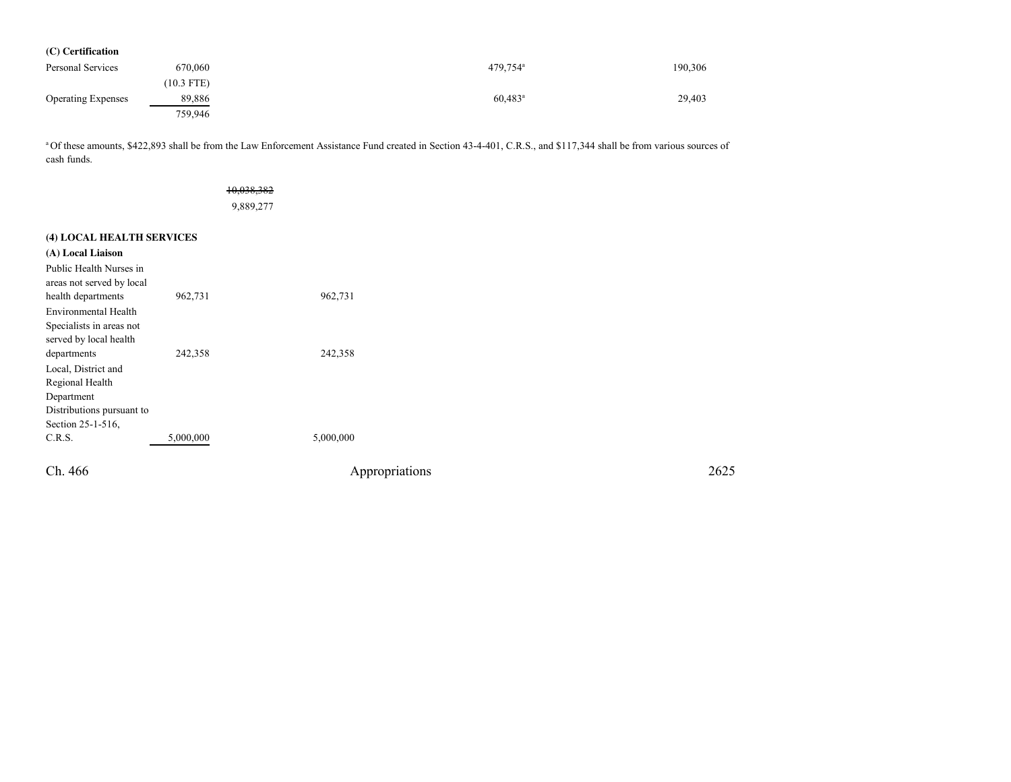| (C) Certification         |              |                       |         |
|---------------------------|--------------|-----------------------|---------|
| Personal Services         | 670,060      | 479,754 <sup>a</sup>  | 190,306 |
|                           | $(10.3$ FTE) |                       |         |
| <b>Operating Expenses</b> | 89,886       | $60,483$ <sup>a</sup> | 29,403  |
|                           | 759,946      |                       |         |

<sup>a</sup>Of these amounts, \$422,893 shall be from the Law Enforcement Assistance Fund created in Section 43-4-401, C.R.S., and \$117,344 shall be from various sources of cash funds.

|                                                                                                                       |           | 10,038,382<br>9,889,277 |      |
|-----------------------------------------------------------------------------------------------------------------------|-----------|-------------------------|------|
| (4) LOCAL HEALTH SERVICES                                                                                             |           |                         |      |
| (A) Local Liaison                                                                                                     |           |                         |      |
| Public Health Nurses in<br>areas not served by local                                                                  |           |                         |      |
| health departments                                                                                                    | 962,731   | 962,731                 |      |
| Environmental Health<br>Specialists in areas not<br>served by local health                                            |           |                         |      |
| departments<br>Local, District and<br>Regional Health<br>Department<br>Distributions pursuant to<br>Section 25-1-516, | 242,358   | 242,358                 |      |
| C.R.S.                                                                                                                | 5,000,000 | 5,000,000               |      |
| Ch. 466                                                                                                               |           | Appropriations          | 2625 |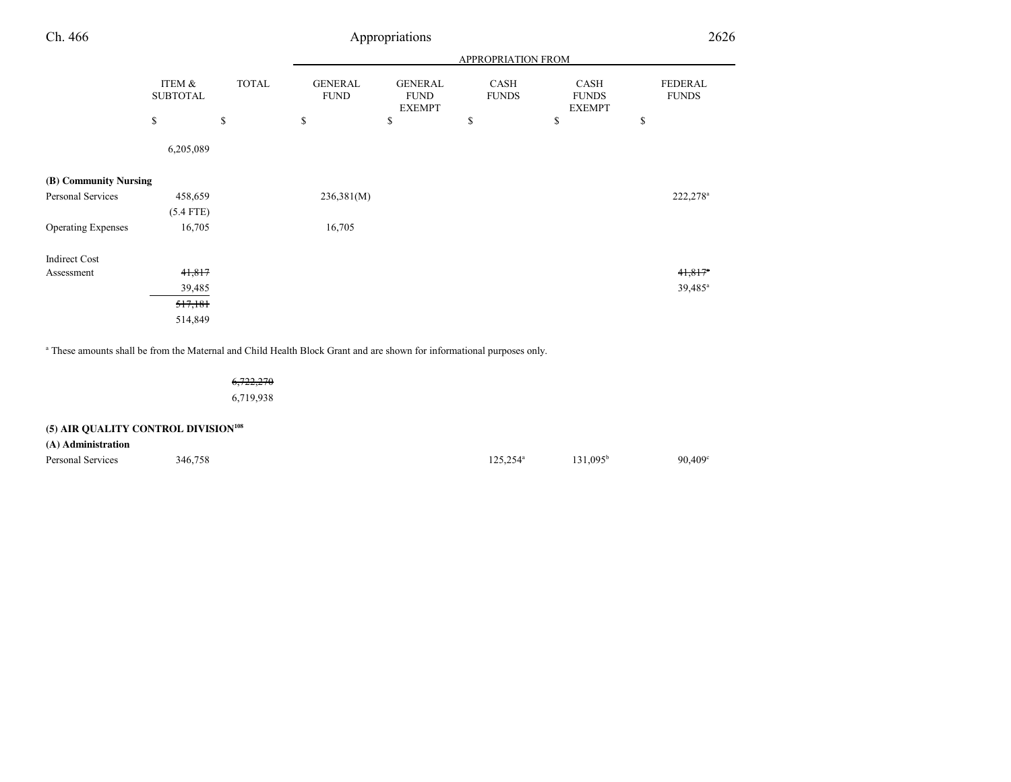| Ch. 466                   | Appropriations            |              |                               |                                                |                      | 2626                                  |                                |  |
|---------------------------|---------------------------|--------------|-------------------------------|------------------------------------------------|----------------------|---------------------------------------|--------------------------------|--|
|                           |                           |              | APPROPRIATION FROM            |                                                |                      |                                       |                                |  |
|                           | ITEM &<br><b>SUBTOTAL</b> | <b>TOTAL</b> | <b>GENERAL</b><br><b>FUND</b> | <b>GENERAL</b><br><b>FUND</b><br><b>EXEMPT</b> | CASH<br><b>FUNDS</b> | CASH<br><b>FUNDS</b><br><b>EXEMPT</b> | <b>FEDERAL</b><br><b>FUNDS</b> |  |
|                           | \$                        | \$           | \$                            | \$                                             | \$                   | \$                                    | \$                             |  |
|                           | 6,205,089                 |              |                               |                                                |                      |                                       |                                |  |
| (B) Community Nursing     |                           |              |                               |                                                |                      |                                       |                                |  |
| Personal Services         | 458,659                   |              | 236,381(M)                    |                                                |                      |                                       | 222,278 <sup>a</sup>           |  |
|                           | $(5.4$ FTE)               |              |                               |                                                |                      |                                       |                                |  |
| <b>Operating Expenses</b> | 16,705                    |              | 16,705                        |                                                |                      |                                       |                                |  |
| <b>Indirect Cost</b>      |                           |              |                               |                                                |                      |                                       |                                |  |
| Assessment                | 41,817                    |              |                               |                                                |                      |                                       | $41,817$ <sup>a</sup>          |  |
|                           | 39,485                    |              |                               |                                                |                      |                                       | 39,485 <sup>a</sup>            |  |
|                           | 517,181                   |              |                               |                                                |                      |                                       |                                |  |
|                           | 514,849                   |              |                               |                                                |                      |                                       |                                |  |

a These amounts shall be from the Maternal and Child Health Block Grant and are shown for informational purposes only.

6,722,2706,719,938

# **(5) AIR QUALITY CONTROL DIVISION<sup>108</sup>**

**(A) Administration**

Personal Services  $346,758$   $346,758$   $346,758$   $346,758$   $346,758$   $346,758$   $346,758$   $346,758$   $346,758$   $346,758$   $346,758$   $346,758$   $346,758$   $346,758$   $346,758$   $346,758$   $346,758$   $346,758$   $346,758$   $346,758$   $34$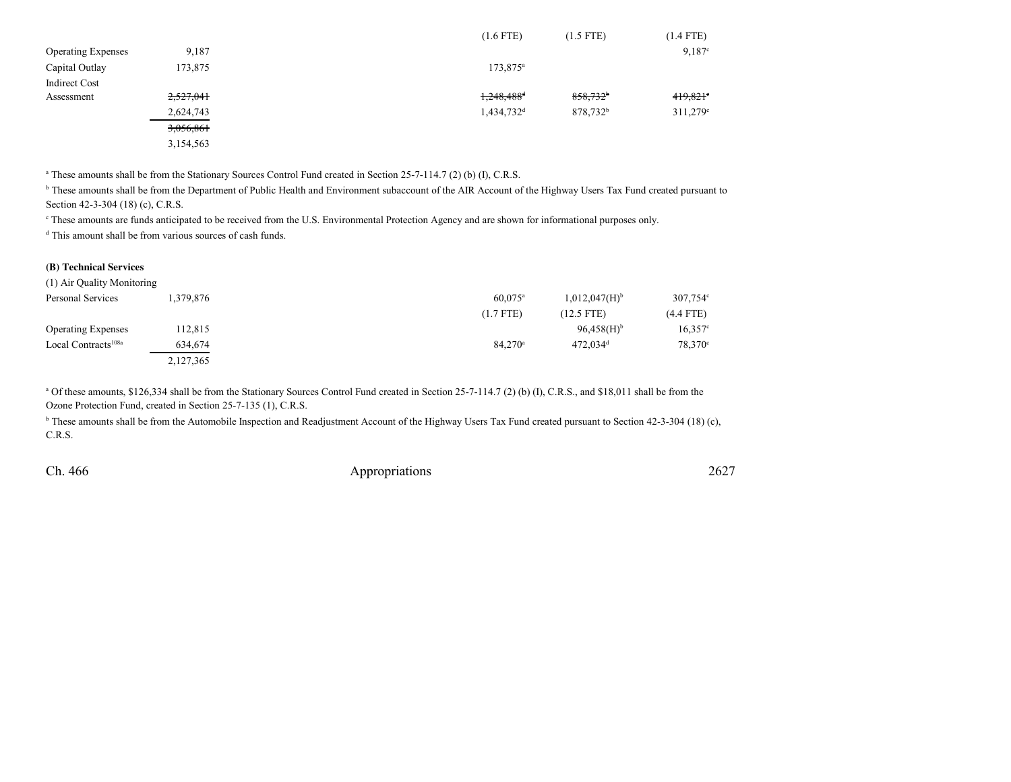|                           |           |  | $(1.6$ FTE)              | (1.5 FTE)            | (1.4 FTE)              |
|---------------------------|-----------|--|--------------------------|----------------------|------------------------|
| <b>Operating Expenses</b> | 9,187     |  |                          |                      | $9,187$ <sup>c</sup>   |
| Capital Outlay            | 173,875   |  | $173,875^{\circ}$        |                      |                        |
| <b>Indirect Cost</b>      |           |  |                          |                      |                        |
| Assessment                | 2,527,041 |  | $1,248,488$ <sup>d</sup> | $858,732^{\circ}$    | $419,821$ <sup>e</sup> |
|                           | 2,624,743 |  | $1,434,732$ <sup>d</sup> | 878,732 <sup>b</sup> | $311,279$ °            |
|                           | 3,056,861 |  |                          |                      |                        |
|                           | 3,154,563 |  |                          |                      |                        |

<sup>a</sup> These amounts shall be from the Stationary Sources Control Fund created in Section 25-7-114.7 (2) (b) (I), C.R.S.

<sup>b</sup> These amounts shall be from the Department of Public Health and Environment subaccount of the AIR Account of the Highway Users Tax Fund created pursuant to Section 42-3-304 (18) (c), C.R.S.

c These amounts are funds anticipated to be received from the U.S. Environmental Protection Agency and are shown for informational purposes only.

<sup>d</sup> This amount shall be from various sources of cash funds.

#### **(B) Technical Services**

| (1) Air Quality Monitoring      |           |                  |                             |                   |
|---------------------------------|-----------|------------------|-----------------------------|-------------------|
| Personal Services               | .379,876  | $60.075^{\circ}$ | $1,012,047(H)$ <sup>b</sup> | $307,754^{\circ}$ |
|                                 |           | $(1.7$ FTE)      | $(12.5$ FTE)                | $(4.4$ FTE)       |
| <b>Operating Expenses</b>       | 112,815   |                  | $96,458(H)$ <sup>b</sup>    | $16,357^{\circ}$  |
| Local Contracts <sup>108a</sup> | 634,674   | $84.270^{\circ}$ | $472.034$ <sup>d</sup>      | $78.370^{\circ}$  |
|                                 | 2,127,365 |                  |                             |                   |

 $^{a}$  Of these amounts, \$126,334 shall be from the Stationary Sources Control Fund created in Section 25-7-114.7 (2) (b) (I), C.R.S., and \$18,011 shall be from the Ozone Protection Fund, created in Section 25-7-135 (1), C.R.S.

<sup>b</sup> These amounts shall be from the Automobile Inspection and Readjustment Account of the Highway Users Tax Fund created pursuant to Section 42-3-304 (18) (c), C.R.S.

Ch. 466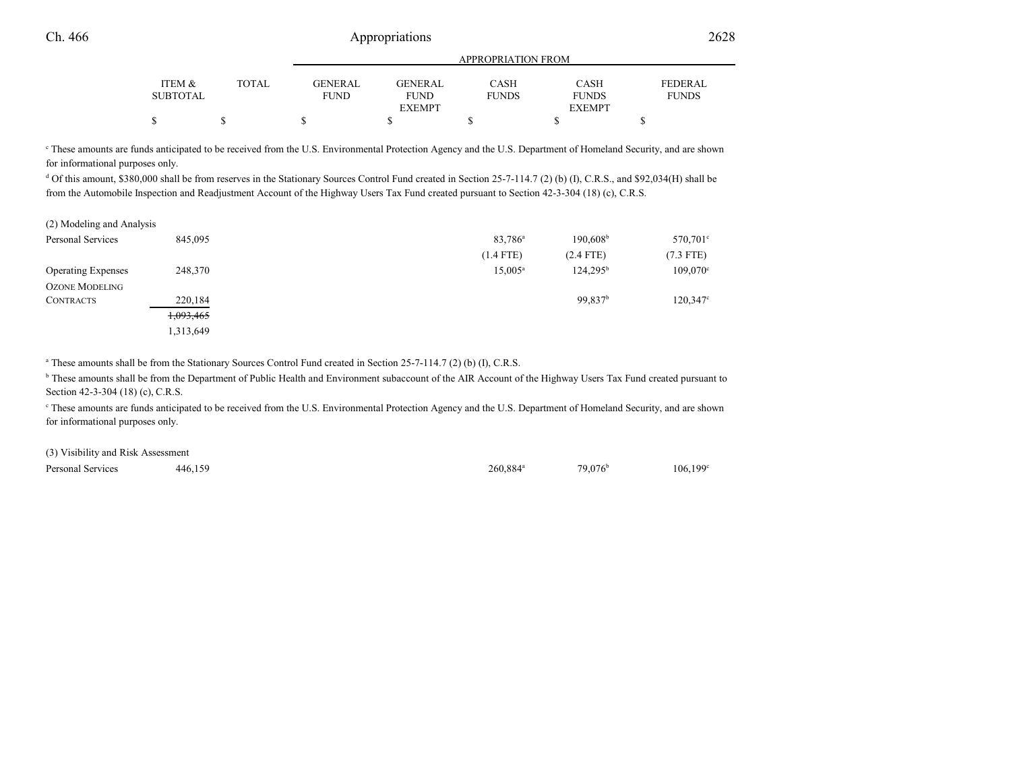# 6 Appropriations 2628

|          |       |                | <b>APPROPRIATION FROM</b> |              |               |                |  |  |
|----------|-------|----------------|---------------------------|--------------|---------------|----------------|--|--|
| ITEM &   | TOTAL | <b>GENERAL</b> | <b>GENERAL</b>            | CASH         | <b>CASH</b>   | <b>FEDERAL</b> |  |  |
| SUBTOTAL |       | FUND           | <b>FUND</b>               | <b>FUNDS</b> | <b>FUNDS</b>  | <b>FUNDS</b>   |  |  |
|          |       |                | <b>EXEMPT</b>             |              | <b>EXEMPT</b> |                |  |  |
|          |       |                |                           |              |               |                |  |  |
|          |       |                |                           |              |               |                |  |  |

<sup>e</sup> These amounts are funds anticipated to be received from the U.S. Environmental Protection Agency and the U.S. Department of Homeland Security, and are shown for informational purposes only.

<sup>d</sup> Of this amount, \$380,000 shall be from reserves in the Stationary Sources Control Fund created in Section 25-7-114.7 (2) (b) (I), C.R.S., and \$92,034(H) shall be from the Automobile Inspection and Readjustment Account of the Highway Users Tax Fund created pursuant to Section 42-3-304 (18) (c), C.R.S.

| (2) Modeling and Analysis |           |                     |                     |             |
|---------------------------|-----------|---------------------|---------------------|-------------|
| Personal Services         | 845,095   | 83,786 <sup>a</sup> | $190,608^{\rm b}$   | 570,701°    |
|                           |           | $(1.4$ FTE)         | $(2.4$ FTE)         | $(7.3$ FTE) |
| <b>Operating Expenses</b> | 248,370   | $15,005^a$          | $124.295^{\rm b}$   | 109,070     |
| <b>OZONE MODELING</b>     |           |                     |                     |             |
| <b>CONTRACTS</b>          | 220,184   |                     | 99,837 <sup>b</sup> | 120,347     |
|                           | 1,093,465 |                     |                     |             |
|                           | 1,313,649 |                     |                     |             |

<sup>a</sup> These amounts shall be from the Stationary Sources Control Fund created in Section 25-7-114.7 (2) (b) (I), C.R.S.

<sup>b</sup> These amounts shall be from the Department of Public Health and Environment subaccount of the AIR Account of the Highway Users Tax Fund created pursuant to Section 42-3-304 (18) (c), C.R.S.

<sup>e</sup> These amounts are funds anticipated to be received from the U.S. Environmental Protection Agency and the U.S. Department of Homeland Security, and are shown for informational purposes only.

| (3) Visibility and Risk Assessment |         |                        |                  |         |
|------------------------------------|---------|------------------------|------------------|---------|
| Personal Services                  | 446.159 | $260.884$ <sup>a</sup> | $79.076^{\rm b}$ | 106,199 |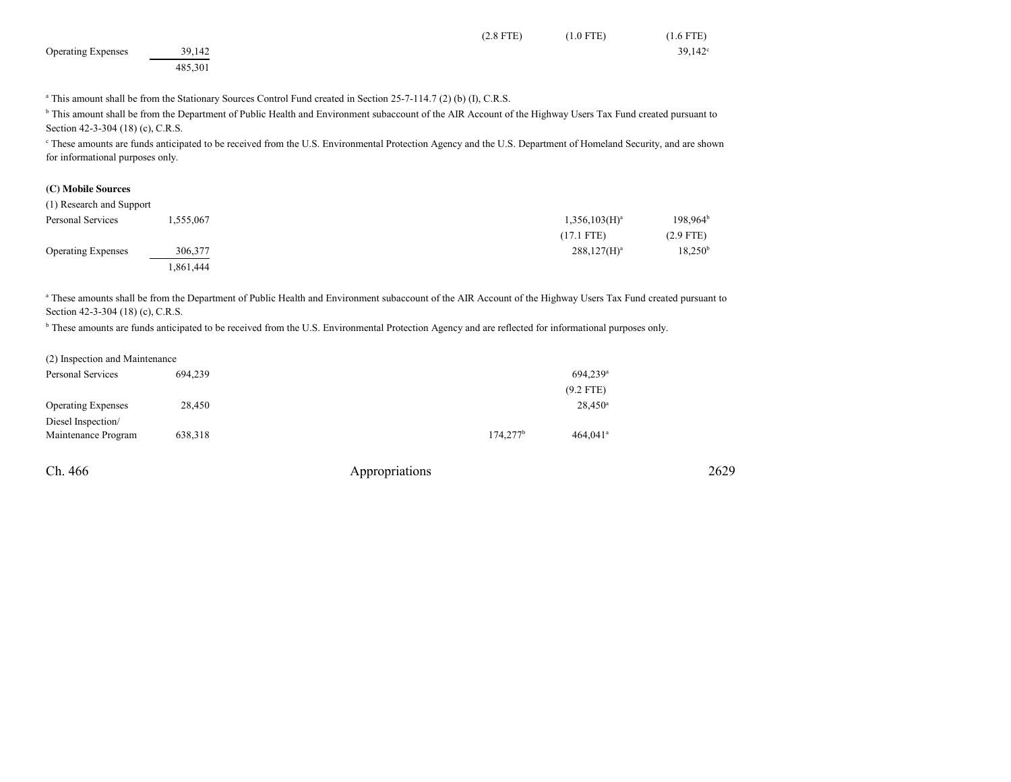|                           |         | $(2.8$ FTE) | $(1.0$ FTE) | $(1.6$ FTE) |
|---------------------------|---------|-------------|-------------|-------------|
| <b>Operating Expenses</b> | 39,142  |             |             | 39,142      |
|                           | 485,301 |             |             |             |

<sup>a</sup> This amount shall be from the Stationary Sources Control Fund created in Section 25-7-114.7 (2) (b) (I), C.R.S.

<sup>b</sup> This amount shall be from the Department of Public Health and Environment subaccount of the AIR Account of the Highway Users Tax Fund created pursuant to Section 42-3-304 (18) (c), C.R.S.

<sup>c</sup> These amounts are funds anticipated to be received from the U.S. Environmental Protection Agency and the U.S. Department of Homeland Security, and are shown for informational purposes only.

## **(C) Mobile Sources**

| (1) Research and Support  |          |                  |                     |
|---------------------------|----------|------------------|---------------------|
| Personal Services         | .555.067 | $1,356,103(H)^a$ | $198.964^t$         |
|                           |          | $(17.1$ FTE)     | $(2.9$ FTE)         |
| <b>Operating Expenses</b> | 306,377  | $288,127(H)^a$   | 18,250 <sup>t</sup> |
|                           | ,861,444 |                  |                     |

<sup>a</sup> These amounts shall be from the Department of Public Health and Environment subaccount of the AIR Account of the Highway Users Tax Fund created pursuant to Section 42-3-304 (18) (c), C.R.S.

<sup>b</sup> These amounts are funds anticipated to be received from the U.S. Environmental Protection Agency and are reflected for informational purposes only.

| (2) Inspection and Maintenance |         |                      |                        |
|--------------------------------|---------|----------------------|------------------------|
| Personal Services              | 694.239 |                      | 694.239 <sup>a</sup>   |
|                                |         |                      | $(9.2$ FTE)            |
| <b>Operating Expenses</b>      | 28.450  |                      | $28,450^a$             |
| Diesel Inspection/             |         |                      |                        |
| Maintenance Program            | 638,318 | 174.277 <sup>b</sup> | $464.041$ <sup>a</sup> |

| Ch. 466 | Appropriations | 2629 |
|---------|----------------|------|
|---------|----------------|------|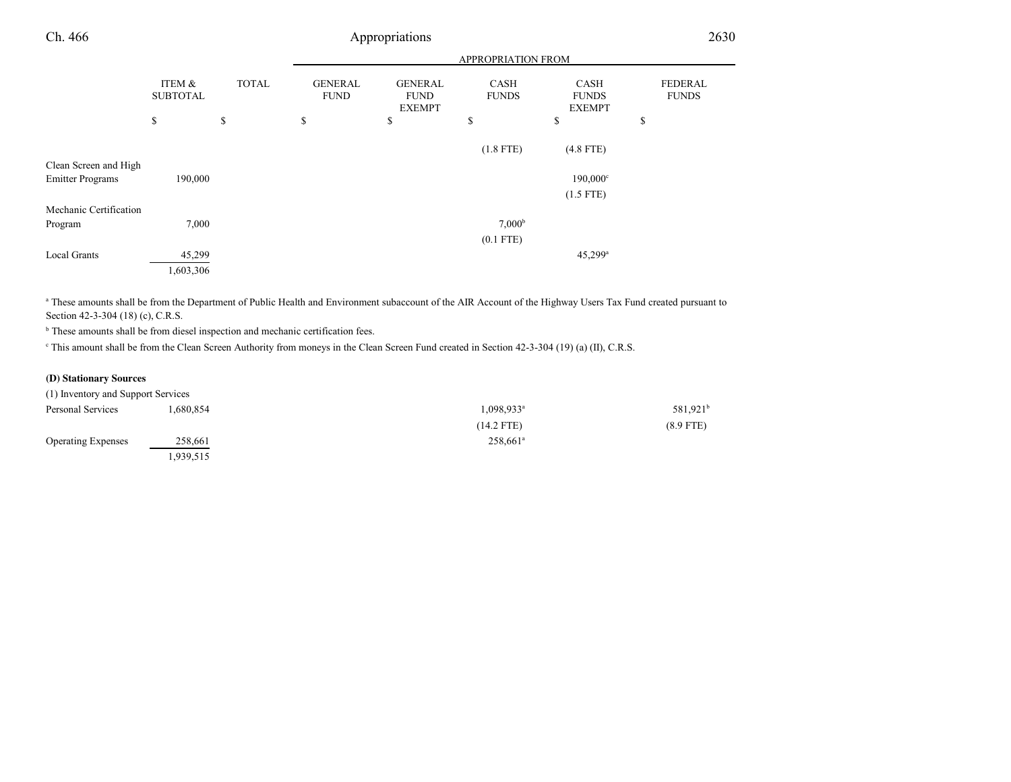| Ch. 466                 |                           |              |                               | Appropriations                                 |                             |                                              | 2630                           |
|-------------------------|---------------------------|--------------|-------------------------------|------------------------------------------------|-----------------------------|----------------------------------------------|--------------------------------|
|                         |                           |              |                               |                                                | <b>APPROPRIATION FROM</b>   |                                              |                                |
|                         | ITEM &<br><b>SUBTOTAL</b> | <b>TOTAL</b> | <b>GENERAL</b><br><b>FUND</b> | <b>GENERAL</b><br><b>FUND</b><br><b>EXEMPT</b> | <b>CASH</b><br><b>FUNDS</b> | <b>CASH</b><br><b>FUNDS</b><br><b>EXEMPT</b> | <b>FEDERAL</b><br><b>FUNDS</b> |
|                         | \$                        | \$           | \$                            | \$                                             | \$                          | \$                                           | S                              |
|                         |                           |              |                               |                                                | $(1.8$ FTE)                 | $(4.8$ FTE)                                  |                                |
| Clean Screen and High   |                           |              |                               |                                                |                             |                                              |                                |
| <b>Emitter Programs</b> | 190,000                   |              |                               |                                                |                             | $190,000^{\circ}$                            |                                |
|                         |                           |              |                               |                                                |                             | $(1.5$ FTE)                                  |                                |
| Mechanic Certification  |                           |              |                               |                                                |                             |                                              |                                |
| Program                 | 7,000                     |              |                               |                                                | 7,000 <sup>b</sup>          |                                              |                                |
|                         |                           |              |                               |                                                | $(0.1$ FTE)                 |                                              |                                |
| <b>Local Grants</b>     | 45,299                    |              |                               |                                                |                             | $45,299$ <sup>a</sup>                        |                                |
|                         | 1,603,306                 |              |                               |                                                |                             |                                              |                                |

<sup>a</sup> These amounts shall be from the Department of Public Health and Environment subaccount of the AIR Account of the Highway Users Tax Fund created pursuant to Section 42-3-304 (18) (c), C.R.S.

<sup>b</sup> These amounts shall be from diesel inspection and mechanic certification fees.

<sup>c</sup> This amount shall be from the Clean Screen Authority from moneys in the Clean Screen Fund created in Section 42-3-304 (19) (a) (II), C.R.S.

#### **(D) Stationary Sources**

| (1) Inventory and Support Services |           |                          |                      |
|------------------------------------|-----------|--------------------------|----------------------|
| Personal Services                  | 1,680,854 | $1,098,933$ <sup>a</sup> | 581,921 <sup>t</sup> |
|                                    |           | $(14.2$ FTE)             | $(8.9$ FTE)          |
| <b>Operating Expenses</b>          | 258,661   | $258.661$ <sup>a</sup>   |                      |
|                                    | 1,939,515 |                          |                      |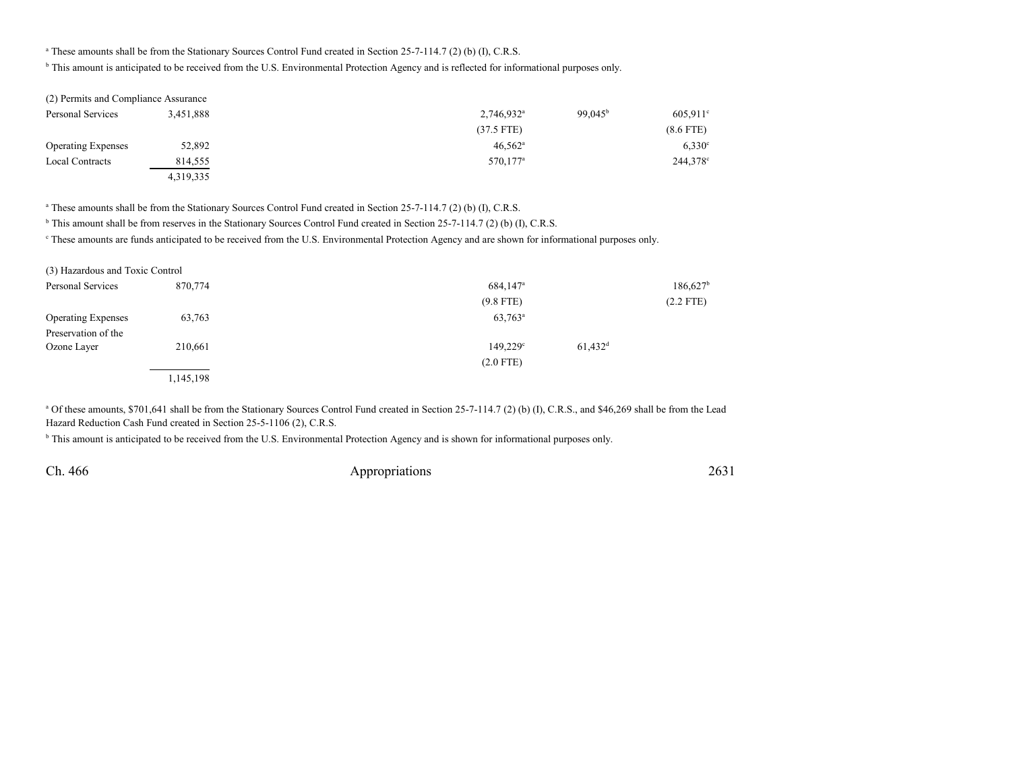## <sup>a</sup> These amounts shall be from the Stationary Sources Control Fund created in Section 25-7-114.7 (2) (b) (I), C.R.S.

<sup>b</sup> This amount is anticipated to be received from the U.S. Environmental Protection Agency and is reflected for informational purposes only.

| (2) Permits and Compliance Assurance |           |                          |                     |             |
|--------------------------------------|-----------|--------------------------|---------------------|-------------|
| Personal Services                    | 3.451.888 | $2,746,932$ <sup>a</sup> | 99.045 <sup>b</sup> | 605.911     |
|                                      |           | $(37.5$ FTE)             |                     | $(8.6$ FTE) |
| <b>Operating Expenses</b>            | 52,892    | $46.562$ <sup>a</sup>    |                     | 6,330       |
| Local Contracts                      | 814,555   | 570,177 <sup>a</sup>     |                     | 244,378     |
|                                      | 4,319,335 |                          |                     |             |

<sup>a</sup> These amounts shall be from the Stationary Sources Control Fund created in Section 25-7-114.7 (2) (b) (I), C.R.S.

<sup>b</sup> This amount shall be from reserves in the Stationary Sources Control Fund created in Section 25-7-114.7 (2) (b) (I), C.R.S.

<sup>c</sup> These amounts are funds anticipated to be received from the U.S. Environmental Protection Agency and are shown for informational purposes only.

| (3) Hazardous and Toxic Control |           |                                            |                      |
|---------------------------------|-----------|--------------------------------------------|----------------------|
| Personal Services               | 870.774   | 684,147 <sup>a</sup>                       | 186,627 <sup>b</sup> |
|                                 |           | $(9.8$ FTE)                                | $(2.2$ FTE)          |
| <b>Operating Expenses</b>       | 63,763    | $63,763^{\rm a}$                           |                      |
| Preservation of the             |           |                                            |                      |
| Ozone Layer                     | 210,661   | $61,432$ <sup>d</sup><br>$149.229^{\circ}$ |                      |
|                                 |           | $(2.0$ FTE)                                |                      |
|                                 | 1,145,198 |                                            |                      |

<sup>a</sup> Of these amounts, \$701,641 shall be from the Stationary Sources Control Fund created in Section 25-7-114.7 (2) (b) (I), C.R.S., and \$46,269 shall be from the Lead Hazard Reduction Cash Fund created in Section 25-5-1106 (2), C.R.S.

<sup>b</sup> This amount is anticipated to be received from the U.S. Environmental Protection Agency and is shown for informational purposes only.

Ch. 466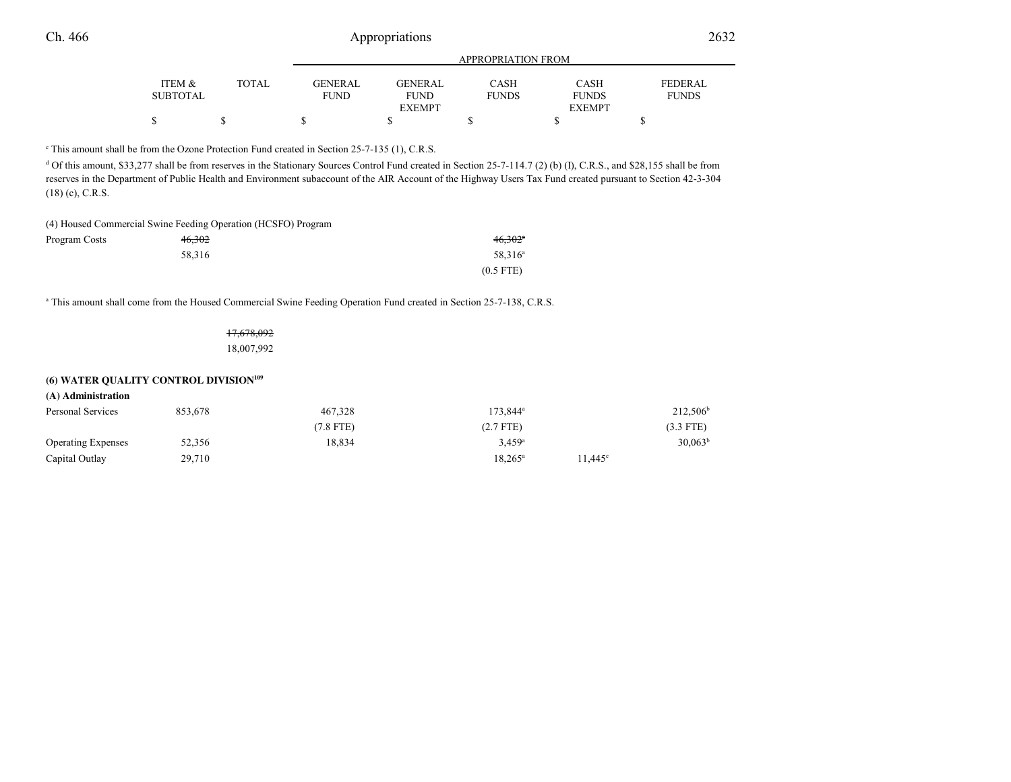|          |       |                | APPROPRIATION FROM |              |               |                |  |
|----------|-------|----------------|--------------------|--------------|---------------|----------------|--|
| ITEM &   | TOTAL | <b>GENERAL</b> | <b>GENERAL</b>     | CASH         | <b>CASH</b>   | <b>FEDERAL</b> |  |
| SUBTOTAL |       | <b>FUND</b>    | <b>FUND</b>        | <b>FUNDS</b> | <b>FUNDS</b>  | <b>FUNDS</b>   |  |
|          |       |                | <b>EXEMPT</b>      |              | <b>EXEMPT</b> |                |  |
|          |       |                |                    |              |               |                |  |

<sup>c</sup> This amount shall be from the Ozone Protection Fund created in Section 25-7-135 (1), C.R.S.

<sup>d</sup> Of this amount, \$33,277 shall be from reserves in the Stationary Sources Control Fund created in Section 25-7-114.7 (2) (b) (I), C.R.S., and \$28,155 shall be from reserves in the Department of Public Health and Environment subaccount of the AIR Account of the Highway Users Tax Fund created pursuant to Section 42-3-304(18) (c), C.R.S.

(4) Housed Commercial Swine Feeding Operation (HCSFO) Program

| Program Costs | <del>46,302</del> | $46,302^{\circ}$ |
|---------------|-------------------|------------------|
|               | 58.316            | $58,316^a$       |
|               |                   | $(0.5$ FTE)      |

a This amount shall come from the Housed Commercial Swine Feeding Operation Fund created in Section 25-7-138, C.R.S.

| 17,678,092 |
|------------|
| 18,007,992 |

#### **(6) WATER QUALITY CONTROL DIVISION<sup>109</sup>**

#### **(A) Administration**

| Personal Services         | 853,678 | 467,328     | $173.844^a$          |                  | $212,506^b$         |
|---------------------------|---------|-------------|----------------------|------------------|---------------------|
|                           |         | $(7.8$ FTE) | $(2.7$ FTE)          |                  | $(3.3$ FTE)         |
| <b>Operating Expenses</b> | 52,356  | 18,834      | $3.459$ <sup>a</sup> |                  | 30.063 <sup>b</sup> |
| Capital Outlay            | 29,710  |             | $18.265^{\circ}$     | $11.445^{\circ}$ |                     |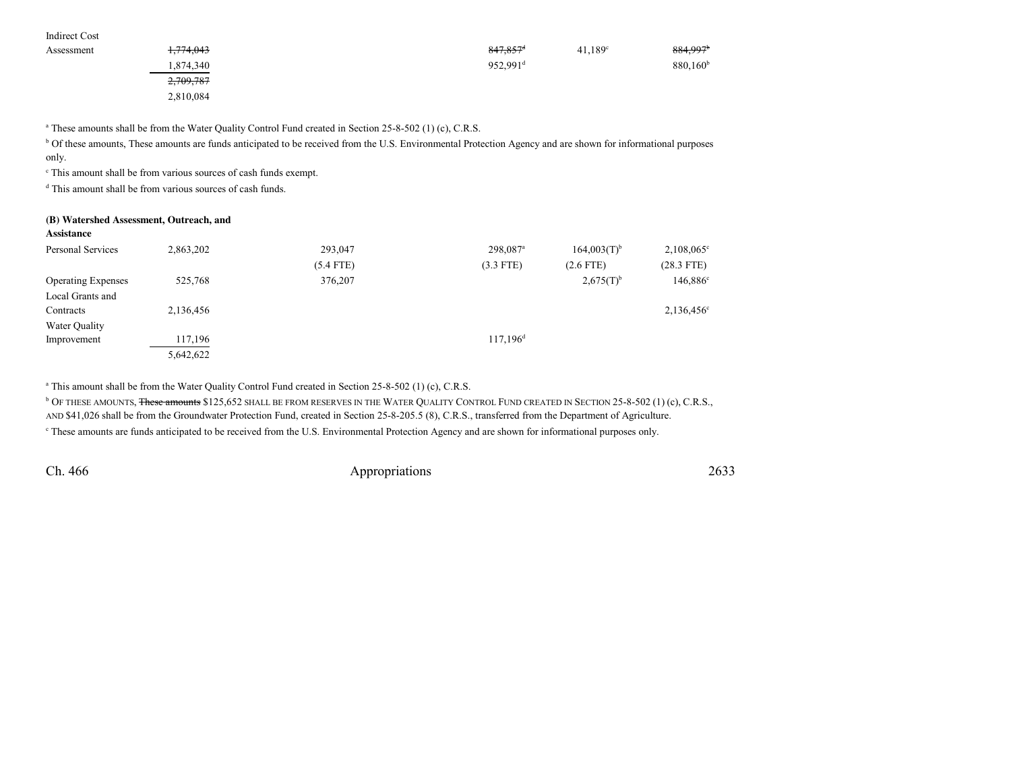| Indirect Cost |           |                      |                  |                      |
|---------------|-----------|----------------------|------------------|----------------------|
| Assessment    | 1,774,043 | 847,857 <sup>d</sup> | $41,189^{\circ}$ | 884,997 <sup>b</sup> |
|               | 1,874,340 | 952,991 <sup>d</sup> |                  | $880,160^{\rm b}$    |
|               | 2,709,787 |                      |                  |                      |
|               | 2,810,084 |                      |                  |                      |

<sup>a</sup> These amounts shall be from the Water Quality Control Fund created in Section 25-8-502 (1) (c), C.R.S.

<sup>b</sup> Of these amounts, These amounts are funds anticipated to be received from the U.S. Environmental Protection Agency and are shown for informational purposes only.

c This amount shall be from various sources of cash funds exempt.

<sup>d</sup> This amount shall be from various sources of cash funds.

#### **(B) Watershed Assessment, Outreach, and**

| Assistance                |           |             |                        |                  |                      |
|---------------------------|-----------|-------------|------------------------|------------------|----------------------|
| Personal Services         | 2,863,202 | 293,047     | 298,087 <sup>a</sup>   | $164,003(T)^{b}$ | $2,108,065^{\circ}$  |
|                           |           | $(5.4$ FTE) | $(3.3$ FTE)            | $(2.6$ FTE)      | $(28.3$ FTE)         |
| <b>Operating Expenses</b> | 525,768   | 376,207     |                        | $2,675(T)^{b}$   | 146,886 <sup>c</sup> |
| Local Grants and          |           |             |                        |                  |                      |
| Contracts                 | 2,136,456 |             |                        |                  | $2,136,456^{\circ}$  |
| Water Quality             |           |             |                        |                  |                      |
| Improvement               | 117,196   |             | $117,196$ <sup>d</sup> |                  |                      |
|                           | 5,642,622 |             |                        |                  |                      |

<sup>a</sup> This amount shall be from the Water Quality Control Fund created in Section 25-8-502 (1) (c), C.R.S.

<sup>b</sup> Of these amounts, <del>These amounts</del> \$125,652 shall be from reserves in the Water Quality Control Fund created in Section 25-8-502 (1) (c), C.R.S.,

AND \$41,026 shall be from the Groundwater Protection Fund, created in Section 25-8-205.5 (8), C.R.S., transferred from the Department of Agriculture.

c These amounts are funds anticipated to be received from the U.S. Environmental Protection Agency and are shown for informational purposes only.

Ch. 466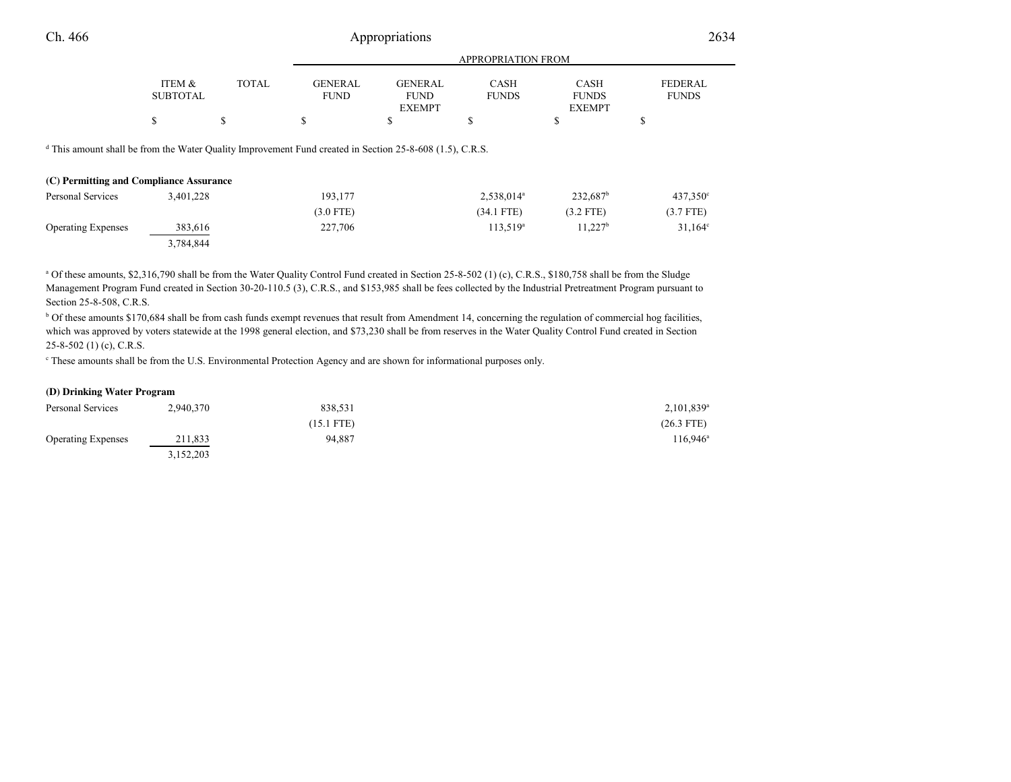| n | <br>.                    | $\sim$ $\sim$<br>$ -$ |
|---|--------------------------|-----------------------|
|   | TION FROM<br>)PRIA<br>'K |                       |
|   |                          |                       |

|                                                                                                                                                            | <b>ITEM &amp;</b><br>SUBTOTAL | <b>TOTAL</b> | <b>GENERAL</b><br><b>FUND</b> | <b>GENERAL</b><br><b>FUND</b><br><b>EXEMPT</b> | <b>CASH</b><br><b>FUNDS</b> | <b>CASH</b><br><b>FUNDS</b><br><b>EXEMPT</b> | <b>FEDERAL</b><br><b>FUNDS</b> |  |
|------------------------------------------------------------------------------------------------------------------------------------------------------------|-------------------------------|--------------|-------------------------------|------------------------------------------------|-----------------------------|----------------------------------------------|--------------------------------|--|
|                                                                                                                                                            | \$                            | S            | S                             | \$                                             | ¢<br>ъ                      | S                                            | \$                             |  |
| $\alpha$ This amount shall be from the Water Quality Improvement Fund created in Section 25-8-608 (1.5), C.R.S.<br>(C) Permitting and Compliance Assurance |                               |              |                               |                                                |                             |                                              |                                |  |
| Personal Services                                                                                                                                          | 3,401,228                     |              | 193,177                       |                                                | 2,538,014 <sup>a</sup>      | $232,687$ <sup>b</sup>                       | $437.350^{\circ}$              |  |
|                                                                                                                                                            |                               |              | $(3.0$ FTE)                   |                                                | (34.1 FTE)                  | $(3.2$ FTE)                                  | $(3.7$ FTE)                    |  |
| <b>Operating Expenses</b>                                                                                                                                  | 383,616                       |              | 227,706                       |                                                | $113,519^a$                 | $11,227^b$                                   | $31,164^{\circ}$               |  |
|                                                                                                                                                            | 3,784,844                     |              |                               |                                                |                             |                                              |                                |  |

<sup>a</sup> Of these amounts, \$2,316,790 shall be from the Water Quality Control Fund created in Section 25-8-502 (1) (c), C.R.S., \$180,758 shall be from the Sludge Management Program Fund created in Section 30-20-110.5 (3), C.R.S., and \$153,985 shall be fees collected by the Industrial Pretreatment Program pursuant toSection 25-8-508, C.R.S.

<sup>b</sup> Of these amounts \$170,684 shall be from cash funds exempt revenues that result from Amendment 14, concerning the regulation of commercial hog facilities, which was approved by voters statewide at the 1998 general election, and \$73,230 shall be from reserves in the Water Quality Control Fund created in Section  $25 - 8 - 502$  (1) (c), C.R.S.

c These amounts shall be from the U.S. Environmental Protection Agency and are shown for informational purposes only.

### **(D) Drinking Water Program**

| Personal Services         | 2,940,370 | 838,531      | $2,101,839$ <sup>a</sup> |
|---------------------------|-----------|--------------|--------------------------|
|                           |           | $(15.1$ FTE) | $(26.3$ FTE)             |
| <b>Operating Expenses</b> | 211,833   | 94.887       | 116,946 <sup>a</sup>     |
|                           | 3,152,203 |              |                          |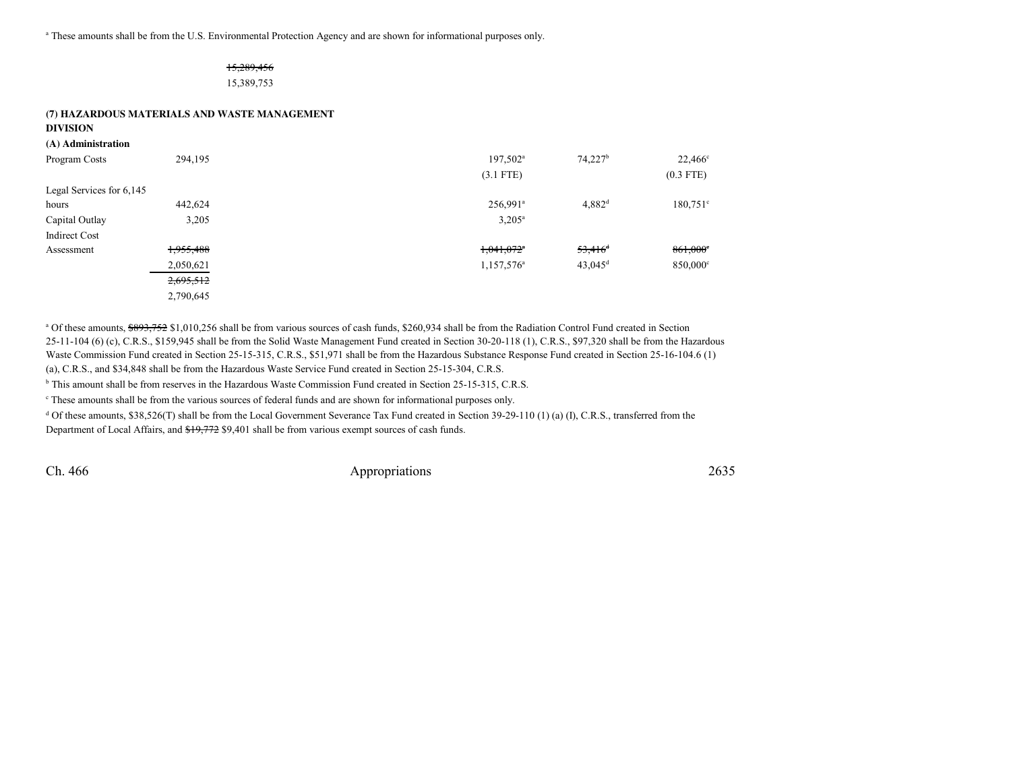<sup>a</sup> These amounts shall be from the U.S. Environmental Protection Agency and are shown for informational purposes only.

# 15,289,45615,389,753

# **(7) HAZARDOUS MATERIALS AND WASTE MANAGEMENT**

**DIVISION**

| (A) Administration       |           |                          |                       |                  |
|--------------------------|-----------|--------------------------|-----------------------|------------------|
| Program Costs            | 294,195   | $197,502^{\text{a}}$     | $74,227$ <sup>b</sup> | $22,466^{\circ}$ |
|                          |           | $(3.1$ FTE)              |                       | $(0.3$ FTE)      |
| Legal Services for 6,145 |           |                          |                       |                  |
| hours                    | 442,624   | 256,991 <sup>a</sup>     | $4,882$ <sup>d</sup>  | $180,751$ °      |
| Capital Outlay           | 3,205     | $3,205^{\circ}$          |                       |                  |
| <b>Indirect Cost</b>     |           |                          |                       |                  |
| Assessment               | 1,955,488 | $1,041,072$ <sup>*</sup> | $53,416$ <sup>d</sup> | 861,000          |
|                          | 2,050,621 | 1,157,576 <sup>a</sup>   | $43,045$ <sup>d</sup> | 850,000°         |
|                          | 2,695,512 |                          |                       |                  |
|                          | 2,790,645 |                          |                       |                  |

<sup>a</sup> Of these amounts, \$893,752 \$1,010,256 shall be from various sources of cash funds, \$260,934 shall be from the Radiation Control Fund created in Section 25-11-104 (6) (c), C.R.S., \$159,945 shall be from the Solid Waste Management Fund created in Section 30-20-118 (1), C.R.S., \$97,320 shall be from the HazardousWaste Commission Fund created in Section 25-15-315, C.R.S., \$51,971 shall be from the Hazardous Substance Response Fund created in Section 25-16-104.6 (1)(a), C.R.S., and \$34,848 shall be from the Hazardous Waste Service Fund created in Section 25-15-304, C.R.S.

<sup>b</sup> This amount shall be from reserves in the Hazardous Waste Commission Fund created in Section 25-15-315, C.R.S.

c These amounts shall be from the various sources of federal funds and are shown for informational purposes only.

 $d$  Of these amounts, \$38,526(T) shall be from the Local Government Severance Tax Fund created in Section 39-29-110 (1) (a) (I), C.R.S., transferred from the Department of Local Affairs, and  $\frac{19,772}{9,401}$  shall be from various exempt sources of cash funds.

Ch. 466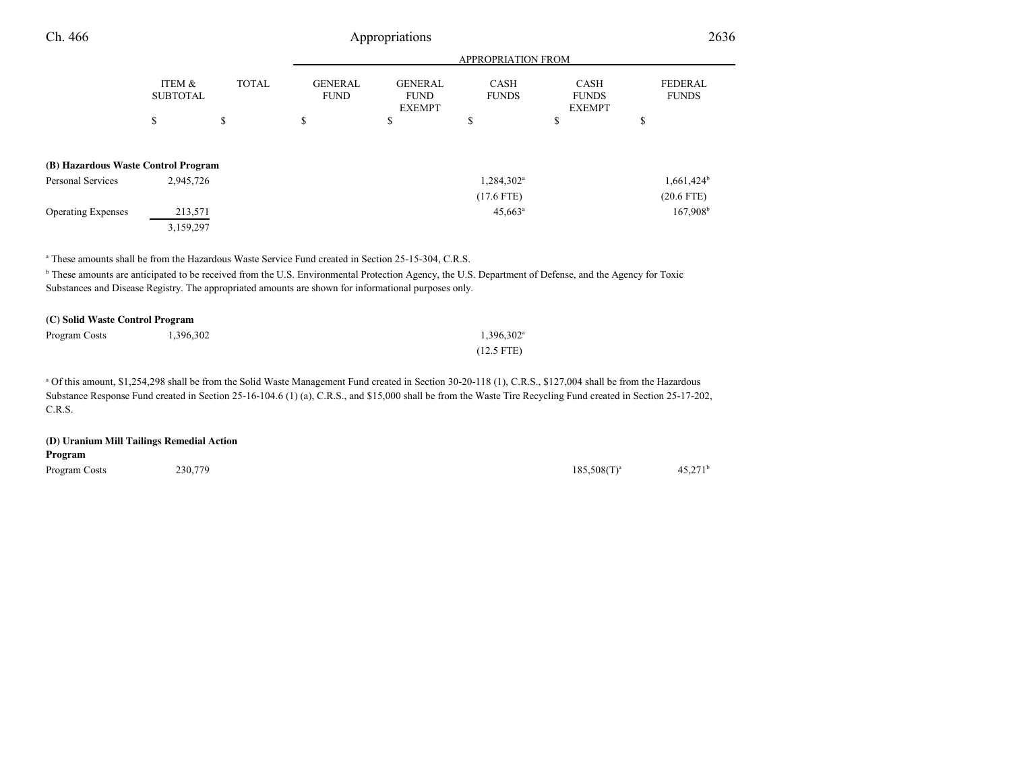| Ch. 466                             | Appropriations            |              |                               |                                                |                             | 2636                                         |                                |
|-------------------------------------|---------------------------|--------------|-------------------------------|------------------------------------------------|-----------------------------|----------------------------------------------|--------------------------------|
|                                     |                           |              |                               |                                                | <b>APPROPRIATION FROM</b>   |                                              |                                |
|                                     | ITEM &<br><b>SUBTOTAL</b> | <b>TOTAL</b> | <b>GENERAL</b><br><b>FUND</b> | <b>GENERAL</b><br><b>FUND</b><br><b>EXEMPT</b> | <b>CASH</b><br><b>FUNDS</b> | <b>CASH</b><br><b>FUNDS</b><br><b>EXEMPT</b> | <b>FEDERAL</b><br><b>FUNDS</b> |
|                                     | \$                        | \$           | \$                            | \$                                             | \$                          | \$                                           | \$                             |
| (B) Hazardous Waste Control Program |                           |              |                               |                                                |                             |                                              |                                |
| <b>Personal Services</b>            | 2,945,726                 |              |                               |                                                | 1,284,302 <sup>a</sup>      |                                              | $1,661,424$ <sup>b</sup>       |
|                                     |                           |              |                               |                                                | $(17.6$ FTE)                |                                              | $(20.6$ FTE)                   |
| <b>Operating Expenses</b>           | 213,571                   |              |                               |                                                | $45,663$ <sup>a</sup>       |                                              | 167,908 <sup>b</sup>           |
|                                     | 3,159,297                 |              |                               |                                                |                             |                                              |                                |

<sup>a</sup> These amounts shall be from the Hazardous Waste Service Fund created in Section 25-15-304, C.R.S.

<sup>b</sup> These amounts are anticipated to be received from the U.S. Environmental Protection Agency, the U.S. Department of Defense, and the Agency for Toxic Substances and Disease Registry. The appropriated amounts are shown for informational purposes only.

| (C) Solid Waste Control Program |           |                        |  |  |  |
|---------------------------------|-----------|------------------------|--|--|--|
| Program Costs                   | 1.396.302 | 1.396.302 <sup>a</sup> |  |  |  |
|                                 |           | $(12.5$ FTE)           |  |  |  |

<sup>a</sup> Of this amount, \$1,254,298 shall be from the Solid Waste Management Fund created in Section 30-20-118 (1), C.R.S., \$127,004 shall be from the Hazardous Substance Response Fund created in Section 25-16-104.6 (1) (a), C.R.S., and \$15,000 shall be from the Waste Tire Recycling Fund created in Section 25-17-202, C.R.S.

| (D) Uranium Mill Tailings Remedial Action<br>Program |         |                  |                  |
|------------------------------------------------------|---------|------------------|------------------|
| Program Costs                                        | 230,779 | $185.508(T)^{a}$ | $45.271^{\rm b}$ |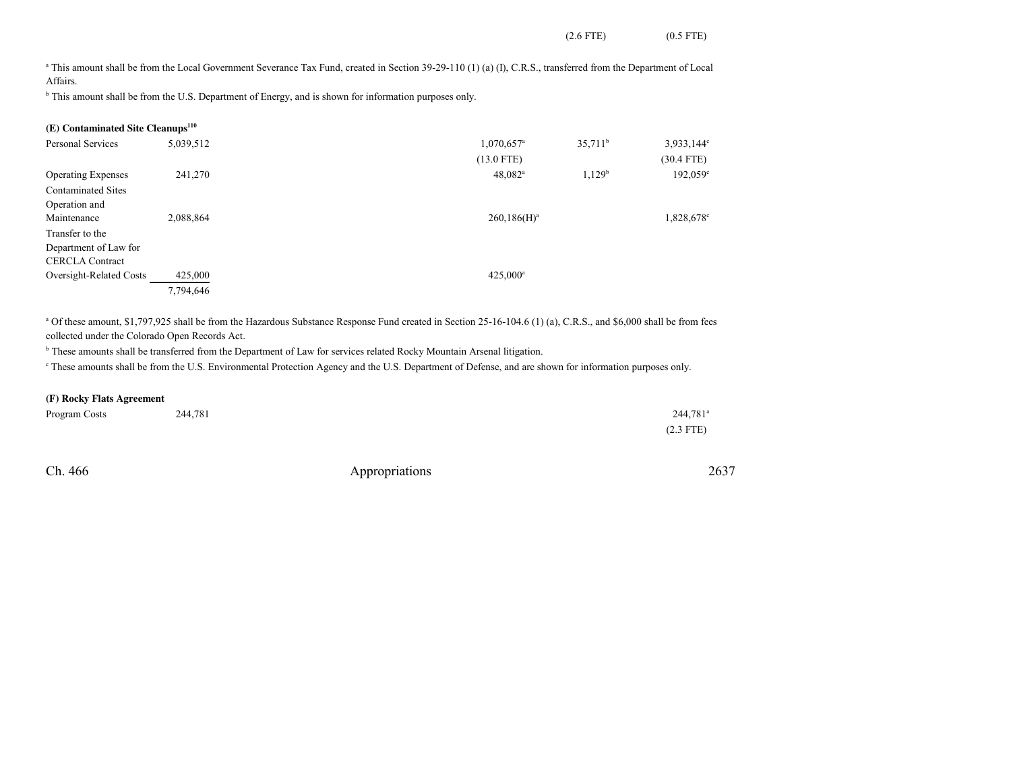(2.6 FTE) (0.5 FTE)

<sup>a</sup> This amount shall be from the Local Government Severance Tax Fund, created in Section 39-29-110 (1) (a) (I), C.R.S., transferred from the Department of Local Affairs.

<sup>b</sup> This amount shall be from the U.S. Department of Energy, and is shown for information purposes only.

## **(E) Contaminated Site Cleanups<sup>110</sup>**

| Personal Services         | 5,039,512 | $1,070,657$ <sup>a</sup> | $35,711^b$         | 3,933,144 <sup>c</sup> |
|---------------------------|-----------|--------------------------|--------------------|------------------------|
|                           |           | $(13.0$ FTE)             |                    | $(30.4$ FTE)           |
| <b>Operating Expenses</b> | 241,270   | $48,082^a$               | 1,129 <sup>b</sup> | 192,059 <sup>c</sup>   |
| <b>Contaminated Sites</b> |           |                          |                    |                        |
| Operation and             |           |                          |                    |                        |
| Maintenance               | 2,088,864 | $260,186(H)^a$           |                    | 1,828,678 <sup>c</sup> |
| Transfer to the           |           |                          |                    |                        |
| Department of Law for     |           |                          |                    |                        |
| <b>CERCLA Contract</b>    |           |                          |                    |                        |
| Oversight-Related Costs   | 425,000   | $425,000^a$              |                    |                        |
|                           | 7,794,646 |                          |                    |                        |

<sup>a</sup> Of these amount, \$1,797,925 shall be from the Hazardous Substance Response Fund created in Section 25-16-104.6 (1) (a), C.R.S., and \$6,000 shall be from fees collected under the Colorado Open Records Act.

<sup>b</sup> These amounts shall be transferred from the Department of Law for services related Rocky Mountain Arsenal litigation.

c These amounts shall be from the U.S. Environmental Protection Agency and the U.S. Department of Defense, and are shown for information purposes only.

#### **(F) Rocky Flats Agreement**

| Program Costs | 244,781 | $244.781$ <sup>a</sup> |
|---------------|---------|------------------------|
|               |         | $(2.3$ FTE)            |

Ch. 466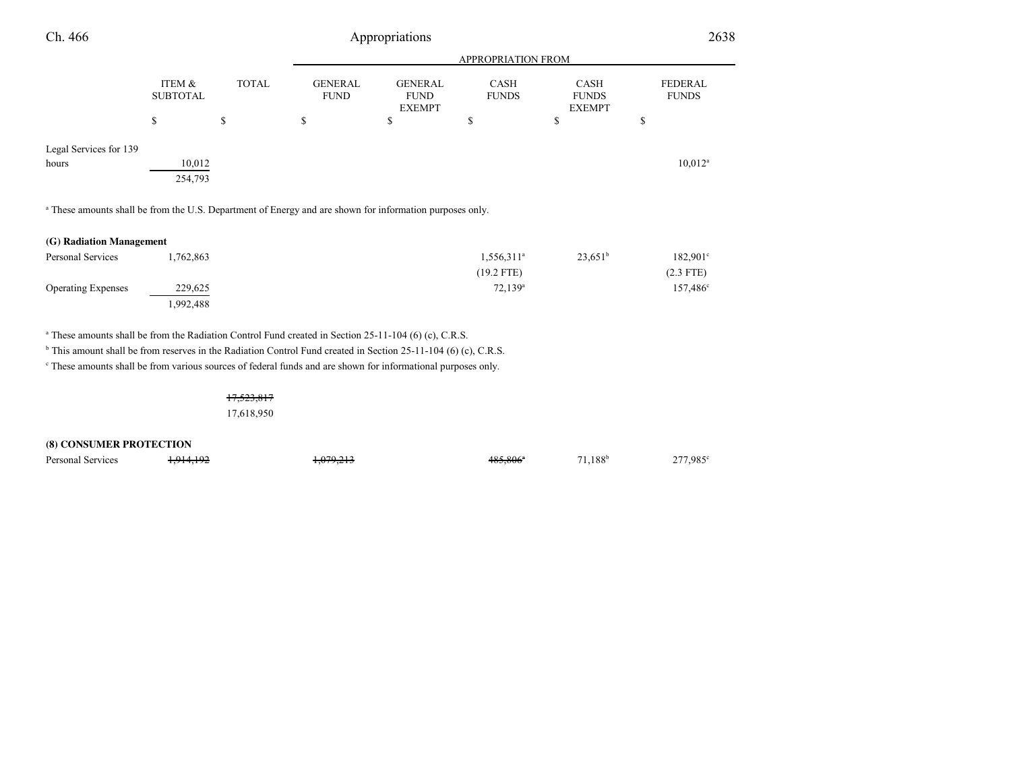| Ch. 466                                                                                                             |                           |              | Appropriations                |                                                |                             |                                       |                                |
|---------------------------------------------------------------------------------------------------------------------|---------------------------|--------------|-------------------------------|------------------------------------------------|-----------------------------|---------------------------------------|--------------------------------|
|                                                                                                                     |                           |              |                               |                                                | <b>APPROPRIATION FROM</b>   |                                       |                                |
|                                                                                                                     | ITEM &<br><b>SUBTOTAL</b> | <b>TOTAL</b> | <b>GENERAL</b><br><b>FUND</b> | <b>GENERAL</b><br><b>FUND</b><br><b>EXEMPT</b> | <b>CASH</b><br><b>FUNDS</b> | CASH<br><b>FUNDS</b><br><b>EXEMPT</b> | <b>FEDERAL</b><br><b>FUNDS</b> |
|                                                                                                                     | \$                        | $\mathbb{S}$ | \$                            | \$                                             | \$                          | \$                                    | \$                             |
| Legal Services for 139<br>hours                                                                                     | 10,012<br>254,793         |              |                               |                                                |                             |                                       | $10,012^a$                     |
| <sup>a</sup> These amounts shall be from the U.S. Department of Energy and are shown for information purposes only. |                           |              |                               |                                                |                             |                                       |                                |
| (G) Radiation Management                                                                                            |                           |              |                               |                                                |                             |                                       |                                |
| Personal Services                                                                                                   | 1,762,863                 |              |                               |                                                | $1,556,311^a$               | $23,651^b$                            | $182,901^{\circ}$              |
|                                                                                                                     |                           |              |                               |                                                | $(19.2$ FTE)                |                                       | $(2.3$ FTE)                    |
| <b>Operating Expenses</b>                                                                                           | 229,625<br>1,992,488      |              |                               |                                                | $72,139^a$                  |                                       | $157,486^{\circ}$              |

a These amounts shall be from the Radiation Control Fund created in Section 25-11-104 (6) (c), C.R.S.

<sup>b</sup> This amount shall be from reserves in the Radiation Control Fund created in Section 25-11-104 (6) (c), C.R.S.

<sup>c</sup> These amounts shall be from various sources of federal funds and are shown for informational purposes only.

17,523,817

1,914,192

17,618,950

**(8) CONSUMER PROTECTION**

Personal Services **1,914,192** 1,079,213 1,079,213 485,806<sup>a</sup> 71,188<sup>b</sup> 277,985<sup>c</sup>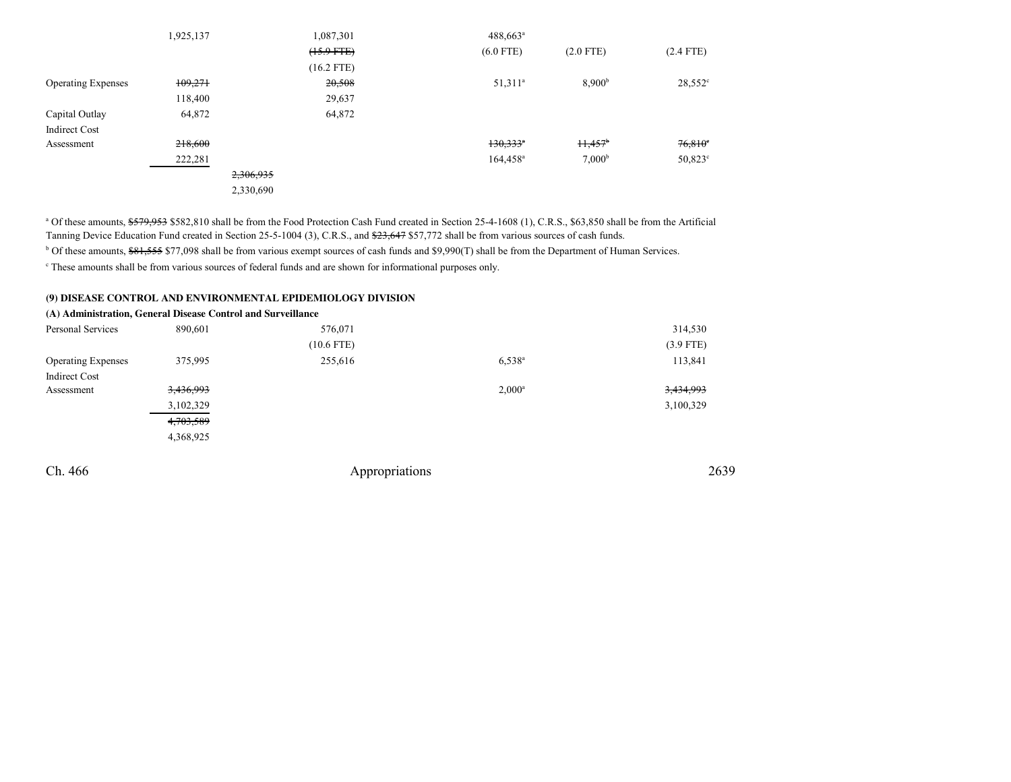|                           | 1,925,137 |           | 1,087,301       | $488,663^{\circ}$      |                    |                       |
|---------------------------|-----------|-----------|-----------------|------------------------|--------------------|-----------------------|
|                           |           |           | $(15.9$ FTE $)$ | $(6.0$ FTE)            | $(2.0$ FTE)        | $(2.4$ FTE)           |
|                           |           |           | $(16.2$ FTE)    |                        |                    |                       |
| <b>Operating Expenses</b> | 109,271   |           | 20,508          | $51,311^a$             | 8,900 <sup>b</sup> | $28,552^{\circ}$      |
|                           | 118,400   |           | 29,637          |                        |                    |                       |
| Capital Outlay            | 64,872    |           | 64,872          |                        |                    |                       |
| <b>Indirect Cost</b>      |           |           |                 |                        |                    |                       |
| Assessment                | 218,600   |           |                 | $130,333$ <sup>*</sup> | $H,457^{\circ}$    | $76,810$ <sup>c</sup> |
|                           | 222,281   |           |                 | $164,458^{\circ}$      | 7,000 <sup>b</sup> | $50,823$ °            |
|                           |           | 2,306,935 |                 |                        |                    |                       |
|                           |           | 2,330,690 |                 |                        |                    |                       |

<sup>a</sup> Of these amounts, \$579,953 \$582,810 shall be from the Food Protection Cash Fund created in Section 25-4-1608 (1), C.R.S., \$63,850 shall be from the Artificial Tanning Device Education Fund created in Section 25-5-1004 (3), C.R.S., and \$23,647 \$57,772 shall be from various sources of cash funds.

<sup>b</sup> Of these amounts, \$81,555 \$77,098 shall be from various exempt sources of cash funds and \$9,990(T) shall be from the Department of Human Services.

c These amounts shall be from various sources of federal funds and are shown for informational purposes only.

#### **(9) DISEASE CONTROL AND ENVIRONMENTAL EPIDEMIOLOGY DIVISION**

|                           | (A) Administration, General Disease Control and Surveillance |              |                 |             |
|---------------------------|--------------------------------------------------------------|--------------|-----------------|-------------|
| Personal Services         | 890,601                                                      | 576,071      |                 | 314,530     |
|                           |                                                              | $(10.6$ FTE) |                 | $(3.9$ FTE) |
| <b>Operating Expenses</b> | 375,995                                                      | 255,616      | $6,538^{\circ}$ | 113,841     |
| <b>Indirect Cost</b>      |                                                              |              |                 |             |
| Assessment                | 3,436,993                                                    |              | $2,000^a$       | 3,434,993   |
|                           | 3,102,329                                                    |              |                 | 3,100,329   |
|                           | 4,703,589                                                    |              |                 |             |
|                           | 4,368,925                                                    |              |                 |             |
|                           |                                                              |              |                 |             |

Ch. 466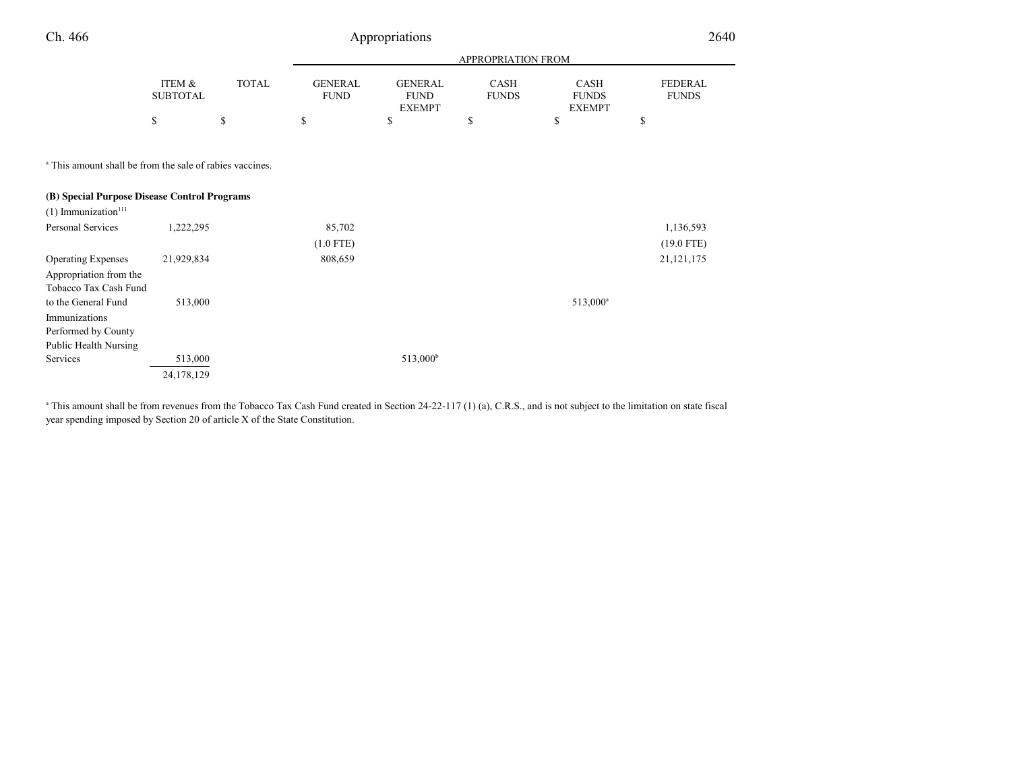| Ch. 466                                                             |                           | Appropriations |                               |                                                |                             |                                              |                                |
|---------------------------------------------------------------------|---------------------------|----------------|-------------------------------|------------------------------------------------|-----------------------------|----------------------------------------------|--------------------------------|
|                                                                     |                           |                |                               |                                                | APPROPRIATION FROM          |                                              |                                |
|                                                                     | ITEM &<br><b>SUBTOTAL</b> | <b>TOTAL</b>   | <b>GENERAL</b><br><b>FUND</b> | <b>GENERAL</b><br><b>FUND</b><br><b>EXEMPT</b> | <b>CASH</b><br><b>FUNDS</b> | <b>CASH</b><br><b>FUNDS</b><br><b>EXEMPT</b> | <b>FEDERAL</b><br><b>FUNDS</b> |
|                                                                     | \$                        | \$             | \$                            | \$                                             | \$                          | \$                                           | \$                             |
| <sup>a</sup> This amount shall be from the sale of rabies vaccines. |                           |                |                               |                                                |                             |                                              |                                |
| (B) Special Purpose Disease Control Programs                        |                           |                |                               |                                                |                             |                                              |                                |
| $(1)$ Immunization <sup>111</sup>                                   |                           |                |                               |                                                |                             |                                              |                                |
| Personal Services                                                   | 1,222,295                 |                | 85,702                        |                                                |                             |                                              | 1,136,593                      |
|                                                                     |                           |                | $(1.0$ FTE)                   |                                                |                             |                                              | $(19.0$ FTE)                   |
| <b>Operating Expenses</b>                                           | 21,929,834                |                | 808,659                       |                                                |                             |                                              | 21, 121, 175                   |
| Appropriation from the<br>Tobacco Tax Cash Fund                     |                           |                |                               |                                                |                             |                                              |                                |
| to the General Fund                                                 | 513,000                   |                |                               |                                                |                             | $513,000^a$                                  |                                |
| Immunizations                                                       |                           |                |                               |                                                |                             |                                              |                                |
| Performed by County                                                 |                           |                |                               |                                                |                             |                                              |                                |
| Public Health Nursing                                               |                           |                |                               |                                                |                             |                                              |                                |
| Services                                                            | 513,000                   |                |                               | 513,000 <sup>b</sup>                           |                             |                                              |                                |
|                                                                     | 24,178,129                |                |                               |                                                |                             |                                              |                                |

a This amount shall be from revenues from the Tobacco Tax Cash Fund created in Section 24-22-117 (1) (a), C.R.S., and is not subject to the limitation on state fiscal year spending imposed by Section 20 of article X of the State Constitution.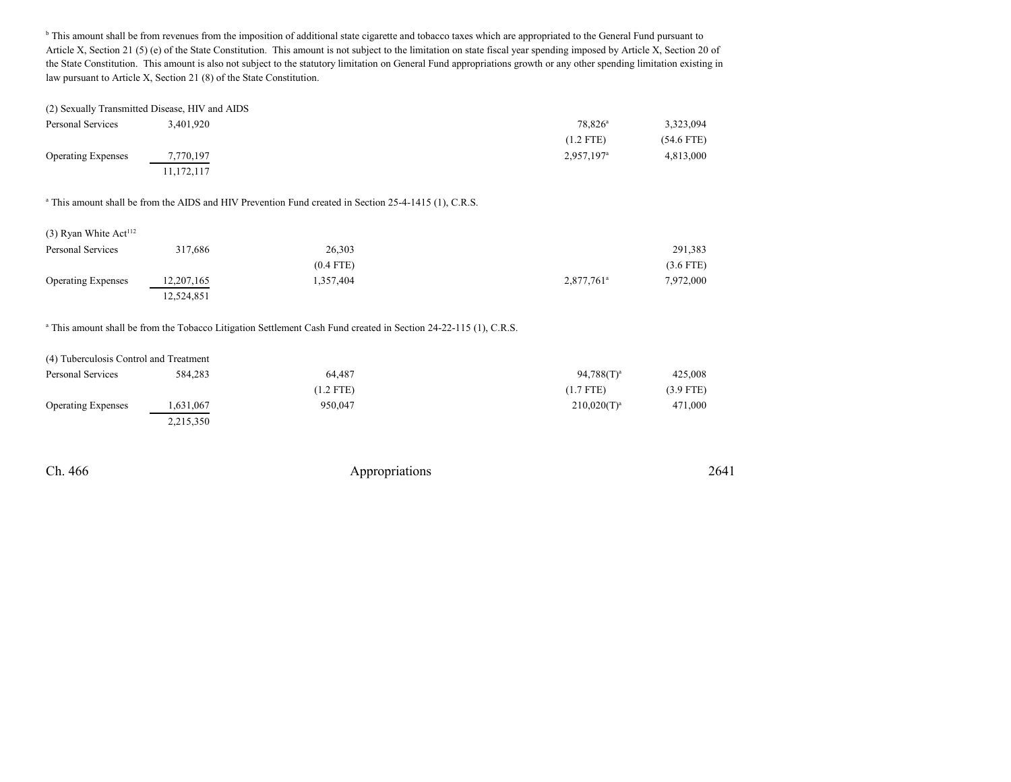<sup>b</sup> This amount shall be from revenues from the imposition of additional state cigarette and tobacco taxes which are appropriated to the General Fund pursuant to Article X, Section 21 (5) (e) of the State Constitution. This amount is not subject to the limitation on state fiscal year spending imposed by Article X, Section 20 of the State Constitution. This amount is also not subject to the statutory limitation on General Fund appropriations growth or any other spending limitation existing inlaw pursuant to Article X, Section 21 (8) of the State Constitution.

|                           | (2) Sexually Transmitted Disease, HIV and AIDS |                          |              |
|---------------------------|------------------------------------------------|--------------------------|--------------|
| Personal Services         | 3.401.920                                      | $78.826^{\circ}$         | 3,323,094    |
|                           |                                                | $(1.2$ FTE)              | $(54.6$ FTE) |
| <b>Operating Expenses</b> | 7,770,197                                      | $2,957,197$ <sup>a</sup> | 4,813,000    |
|                           | 11,172,117                                     |                          |              |

<sup>a</sup> This amount shall be from the AIDS and HIV Prevention Fund created in Section 25-4-1415 (1), C.R.S.

| Personal Services         | 317,686    | 26,303      |                          | 291,383     |
|---------------------------|------------|-------------|--------------------------|-------------|
|                           |            | $(0.4$ FTE) |                          | $(3.6$ FTE) |
| <b>Operating Expenses</b> | 12,207,165 | .357,404    | $2,877,761$ <sup>a</sup> | 7,972,000   |
|                           | 12,524,851 |             |                          |             |

<sup>a</sup> This amount shall be from the Tobacco Litigation Settlement Cash Fund created in Section 24-22-115 (1), C.R.S.

| (4) Tuberculosis Control and Treatment |         |  |  |  |
|----------------------------------------|---------|--|--|--|
| Personal Services                      | 584,283 |  |  |  |

| Personal Services         | 584,283   | 64.487      | $94,788(T)^a$    | 425,008     |
|---------------------------|-----------|-------------|------------------|-------------|
|                           |           | $(1.2$ FTE) | (1.7 FTE)        | $(3.9$ FTE) |
| <b>Operating Expenses</b> | 1,631,067 | 950.047     | $210,020(T)^{a}$ | 471,000     |
|                           | 2,215,350 |             |                  |             |

Ch. 466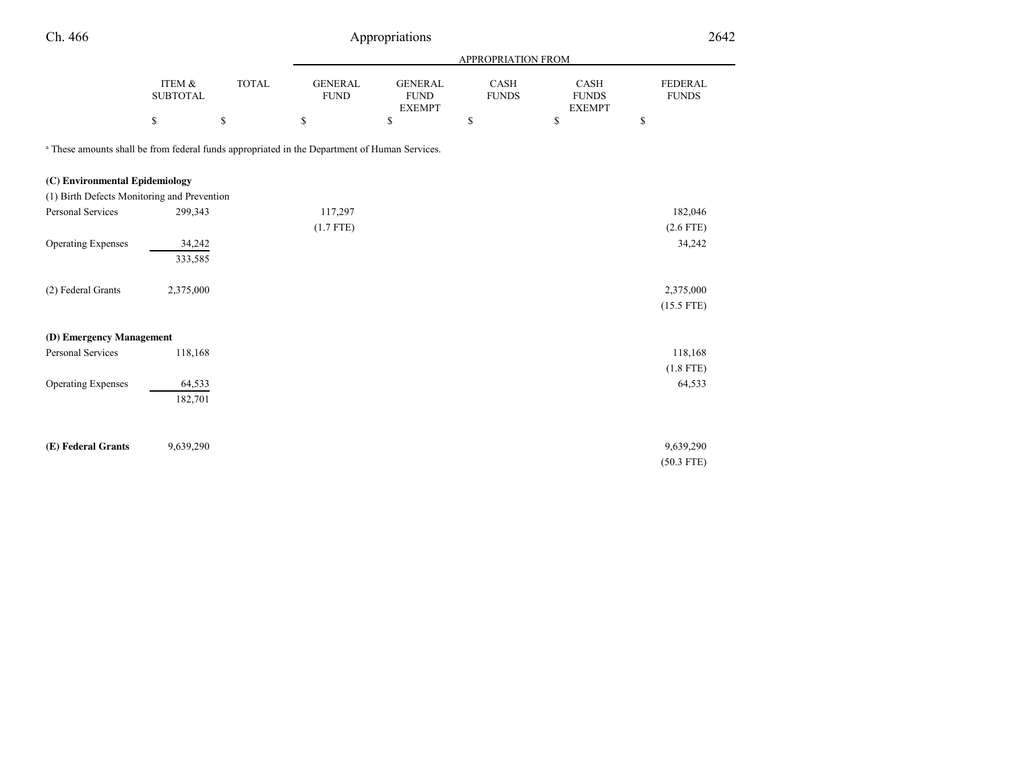| Ch. 466                                                                                                  |                                             | Appropriations |                                |                                                |                           |                                       |                                             |  |  |
|----------------------------------------------------------------------------------------------------------|---------------------------------------------|----------------|--------------------------------|------------------------------------------------|---------------------------|---------------------------------------|---------------------------------------------|--|--|
|                                                                                                          |                                             |                |                                |                                                | <b>APPROPRIATION FROM</b> |                                       |                                             |  |  |
|                                                                                                          | ITEM &<br><b>SUBTOTAL</b>                   | <b>TOTAL</b>   | <b>GENERAL</b><br>${\rm FUND}$ | <b>GENERAL</b><br><b>FUND</b><br><b>EXEMPT</b> | CASH<br><b>FUNDS</b>      | CASH<br><b>FUNDS</b><br><b>EXEMPT</b> | <b>FEDERAL</b><br><b>FUNDS</b>              |  |  |
|                                                                                                          | $\mathbb{S}% _{n}^{X\rightarrow\mathbb{R}}$ | \$             | $\mathbb{S}$                   | $\mathbb{S}$                                   | \$                        | \$                                    | $\mathbb{S}% _{n}^{X\rightarrow\mathbb{R}}$ |  |  |
| <sup>a</sup> These amounts shall be from federal funds appropriated in the Department of Human Services. |                                             |                |                                |                                                |                           |                                       |                                             |  |  |
| (C) Environmental Epidemiology                                                                           |                                             |                |                                |                                                |                           |                                       |                                             |  |  |
| (1) Birth Defects Monitoring and Prevention                                                              |                                             |                |                                |                                                |                           |                                       |                                             |  |  |
| Personal Services                                                                                        | 299,343                                     |                | 117,297                        |                                                |                           |                                       | 182,046                                     |  |  |
|                                                                                                          |                                             |                | $(1.7$ FTE)                    |                                                |                           |                                       | $(2.6$ FTE)                                 |  |  |
| <b>Operating Expenses</b>                                                                                | 34,242                                      |                |                                |                                                |                           |                                       | 34,242                                      |  |  |
|                                                                                                          | 333,585                                     |                |                                |                                                |                           |                                       |                                             |  |  |
| (2) Federal Grants                                                                                       | 2,375,000                                   |                |                                |                                                |                           |                                       | 2,375,000                                   |  |  |
|                                                                                                          |                                             |                |                                |                                                |                           |                                       | $(15.5$ FTE)                                |  |  |
| (D) Emergency Management                                                                                 |                                             |                |                                |                                                |                           |                                       |                                             |  |  |
| Personal Services                                                                                        | 118,168                                     |                |                                |                                                |                           |                                       | 118,168                                     |  |  |
|                                                                                                          |                                             |                |                                |                                                |                           |                                       | $(1.8$ FTE)                                 |  |  |
| <b>Operating Expenses</b>                                                                                | 64,533                                      |                |                                |                                                |                           |                                       | 64,533                                      |  |  |
|                                                                                                          | 182,701                                     |                |                                |                                                |                           |                                       |                                             |  |  |
|                                                                                                          |                                             |                |                                |                                                |                           |                                       |                                             |  |  |
| (E) Federal Grants                                                                                       | 9,639,290                                   |                |                                |                                                |                           |                                       | 9,639,290                                   |  |  |
|                                                                                                          |                                             |                |                                |                                                |                           |                                       | $(50.3$ FTE)                                |  |  |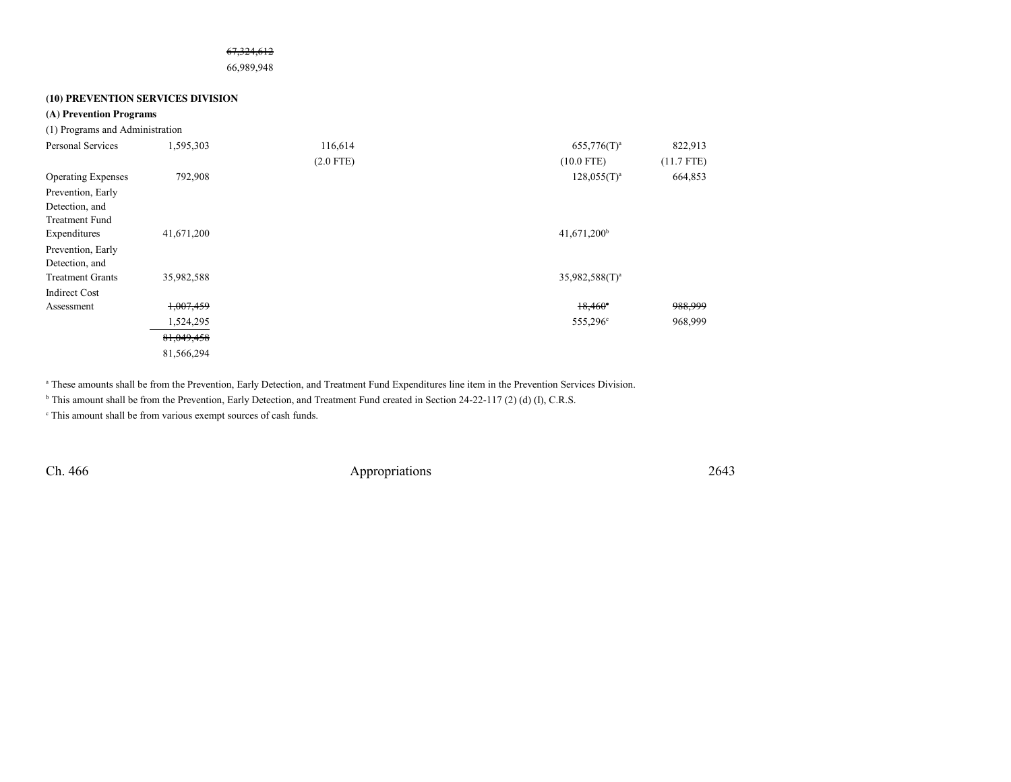#### 67,324,612

66,989,948

### **(10) PREVENTION SERVICES DIVISION**

## **(A) Prevention Programs**

| (1) Programs and Administration |           |
|---------------------------------|-----------|
| Personal Services               | 1.595.303 |

| Personal Services         | 1,595,303  | 116,614     | $655,776(T)^a$             | 822,913      |
|---------------------------|------------|-------------|----------------------------|--------------|
|                           |            | $(2.0$ FTE) | $(10.0$ FTE)               | $(11.7$ FTE) |
| <b>Operating Expenses</b> | 792,908    |             | $128,055(T)^{a}$           | 664,853      |
| Prevention, Early         |            |             |                            |              |
| Detection, and            |            |             |                            |              |
| <b>Treatment Fund</b>     |            |             |                            |              |
| Expenditures              | 41,671,200 |             | $41,671,200^b$             |              |
| Prevention, Early         |            |             |                            |              |
| Detection, and            |            |             |                            |              |
| <b>Treatment Grants</b>   | 35,982,588 |             | 35,982,588(T) <sup>a</sup> |              |
| <b>Indirect Cost</b>      |            |             |                            |              |
| Assessment                | 1,007,459  |             | $18,460^{\circ}$           | 988,999      |
|                           | 1,524,295  |             | 555,296 <sup>c</sup>       | 968,999      |
|                           | 81,049,458 |             |                            |              |
|                           | 81,566,294 |             |                            |              |

a These amounts shall be from the Prevention, Early Detection, and Treatment Fund Expenditures line item in the Prevention Services Division.

<sup>b</sup> This amount shall be from the Prevention, Early Detection, and Treatment Fund created in Section 24-22-117 (2) (d) (I), C.R.S.

c This amount shall be from various exempt sources of cash funds.

Ch. 466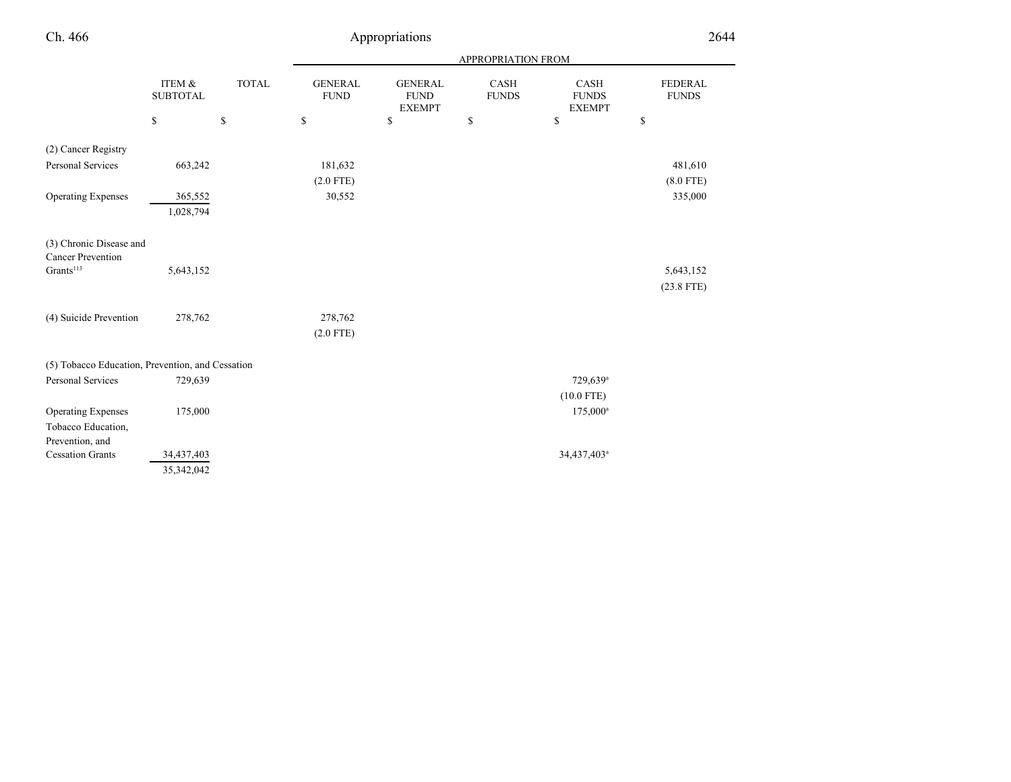| Ch. 466                                                            |                           |                                   | Appropriations                |                                                |                           |                                       | 2644                           |  |
|--------------------------------------------------------------------|---------------------------|-----------------------------------|-------------------------------|------------------------------------------------|---------------------------|---------------------------------------|--------------------------------|--|
|                                                                    |                           |                                   |                               |                                                | <b>APPROPRIATION FROM</b> |                                       |                                |  |
|                                                                    | ITEM &<br><b>SUBTOTAL</b> | <b>TOTAL</b>                      | <b>GENERAL</b><br><b>FUND</b> | <b>GENERAL</b><br><b>FUND</b><br><b>EXEMPT</b> | CASH<br><b>FUNDS</b>      | CASH<br><b>FUNDS</b><br><b>EXEMPT</b> | <b>FEDERAL</b><br><b>FUNDS</b> |  |
|                                                                    | \$                        | $\mathbb{S}% _{t}\left( t\right)$ | $\mathbb S$                   | \$                                             | \$                        | \$                                    | \$                             |  |
| (2) Cancer Registry<br>Personal Services                           | 663,242                   |                                   | 181,632                       |                                                |                           |                                       | 481,610                        |  |
| <b>Operating Expenses</b>                                          | 365,552<br>1,028,794      |                                   | $(2.0$ FTE)<br>30,552         |                                                |                           |                                       | $(8.0$ FTE)<br>335,000         |  |
| (3) Chronic Disease and<br><b>Cancer Prevention</b>                |                           |                                   |                               |                                                |                           |                                       |                                |  |
| Grants <sup>113</sup>                                              | 5,643,152                 |                                   |                               |                                                |                           |                                       | 5,643,152<br>$(23.8$ FTE)      |  |
| (4) Suicide Prevention                                             | 278,762                   |                                   | 278,762<br>$(2.0$ FTE)        |                                                |                           |                                       |                                |  |
| (5) Tobacco Education, Prevention, and Cessation                   |                           |                                   |                               |                                                |                           |                                       |                                |  |
| Personal Services                                                  | 729,639                   |                                   |                               |                                                |                           | 729,639 <sup>a</sup><br>$(10.0$ FTE)  |                                |  |
| <b>Operating Expenses</b><br>Tobacco Education,<br>Prevention, and | 175,000                   |                                   |                               |                                                |                           | $175,000^a$                           |                                |  |
| <b>Cessation Grants</b>                                            | 34,437,403<br>35,342,042  |                                   |                               |                                                |                           | 34,437,403 <sup>a</sup>               |                                |  |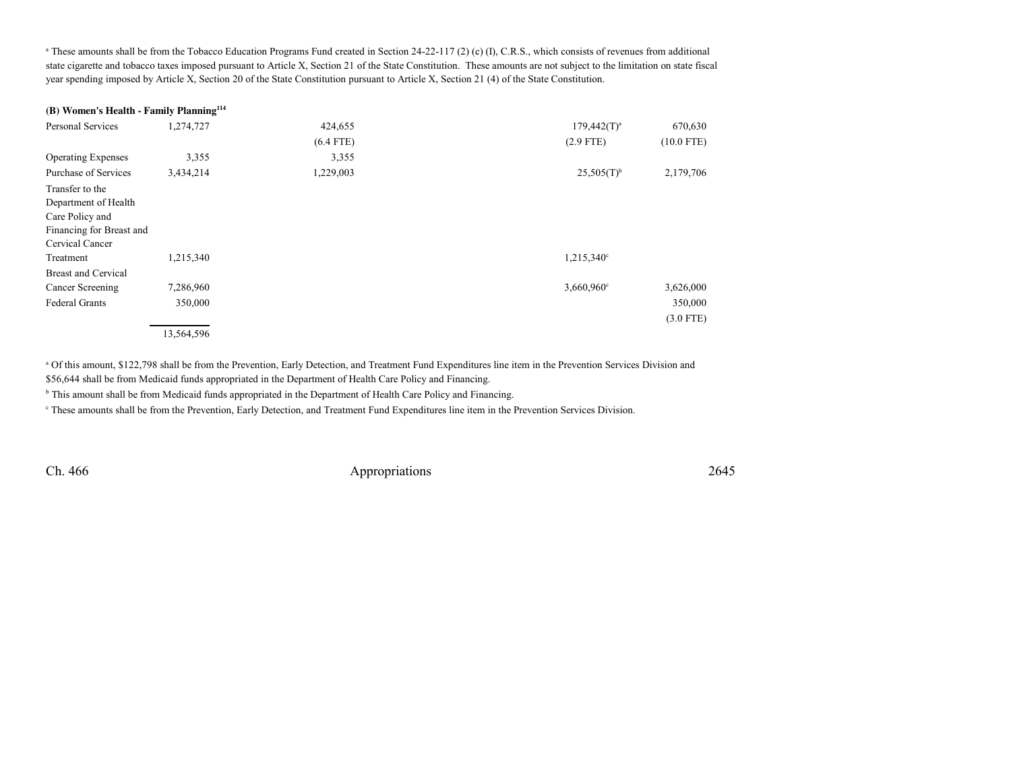<sup>a</sup> These amounts shall be from the Tobacco Education Programs Fund created in Section 24-22-117 (2) (c) (I), C.R.S., which consists of revenues from additional state cigarette and tobacco taxes imposed pursuant to Article X, Section 21 of the State Constitution. These amounts are not subject to the limitation on state fiscalyear spending imposed by Article X, Section 20 of the State Constitution pursuant to Article X, Section 21 (4) of the State Constitution.

## **(B) Women's Health - Family Planning<sup>114</sup>**

| Personal Services          | 1,274,727  | 424,655     | $179,442(T)^a$           | 670,630      |
|----------------------------|------------|-------------|--------------------------|--------------|
|                            |            | $(6.4$ FTE) | $(2.9$ FTE)              | $(10.0$ FTE) |
| <b>Operating Expenses</b>  | 3,355      | 3,355       |                          |              |
| Purchase of Services       | 3,434,214  | 1,229,003   | $25,505(T)$ <sup>b</sup> | 2,179,706    |
| Transfer to the            |            |             |                          |              |
| Department of Health       |            |             |                          |              |
| Care Policy and            |            |             |                          |              |
| Financing for Breast and   |            |             |                          |              |
| Cervical Cancer            |            |             |                          |              |
| Treatment                  | 1,215,340  |             | 1,215,340 <sup>c</sup>   |              |
| <b>Breast and Cervical</b> |            |             |                          |              |
| Cancer Screening           | 7,286,960  |             | 3,660,960 <sup>c</sup>   | 3,626,000    |
| <b>Federal Grants</b>      | 350,000    |             |                          | 350,000      |
|                            |            |             |                          | $(3.0$ FTE)  |
|                            | 13,564,596 |             |                          |              |

a Of this amount, \$122,798 shall be from the Prevention, Early Detection, and Treatment Fund Expenditures line item in the Prevention Services Division and \$56,644 shall be from Medicaid funds appropriated in the Department of Health Care Policy and Financing.

<sup>b</sup> This amount shall be from Medicaid funds appropriated in the Department of Health Care Policy and Financing.

c These amounts shall be from the Prevention, Early Detection, and Treatment Fund Expenditures line item in the Prevention Services Division.

Ch. 466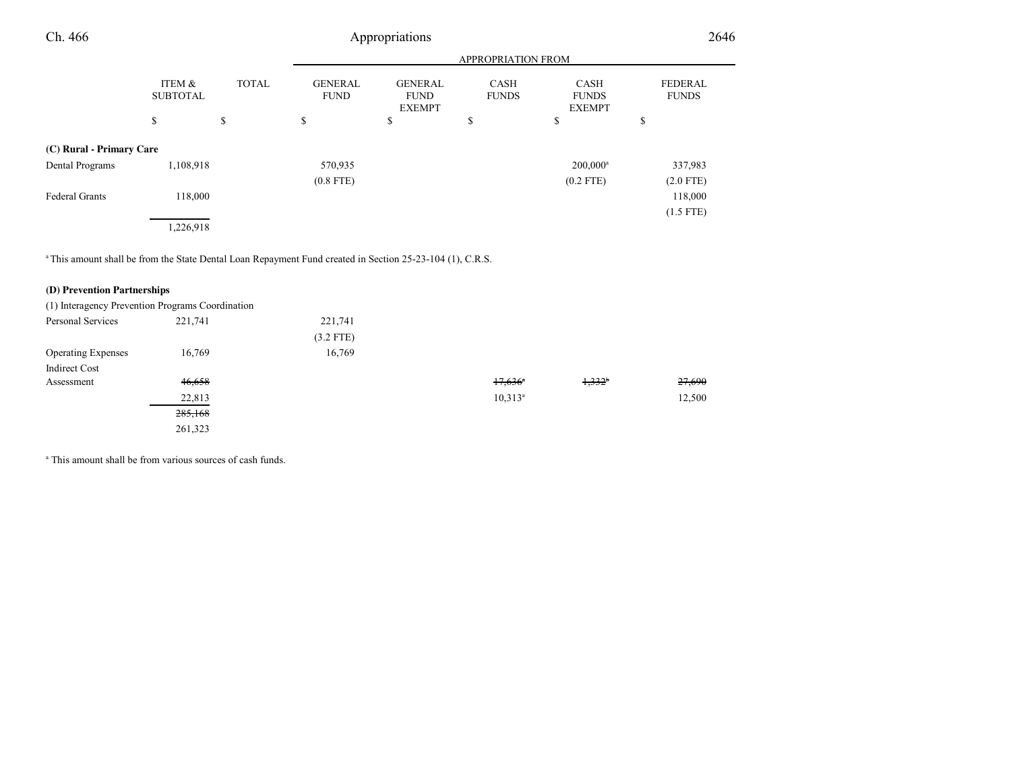| Ch. 466                                                                                                              |                                      |              |                               | Appropriations                                 |                             |                                              | 2646                           |
|----------------------------------------------------------------------------------------------------------------------|--------------------------------------|--------------|-------------------------------|------------------------------------------------|-----------------------------|----------------------------------------------|--------------------------------|
|                                                                                                                      |                                      |              |                               |                                                |                             |                                              |                                |
|                                                                                                                      | <b>ITEM &amp;</b><br><b>SUBTOTAL</b> | <b>TOTAL</b> | <b>GENERAL</b><br><b>FUND</b> | <b>GENERAL</b><br><b>FUND</b><br><b>EXEMPT</b> | <b>CASH</b><br><b>FUNDS</b> | <b>CASH</b><br><b>FUNDS</b><br><b>EXEMPT</b> | <b>FEDERAL</b><br><b>FUNDS</b> |
|                                                                                                                      | \$                                   | \$           | \$                            | S                                              | \$                          | \$                                           | \$                             |
| (C) Rural - Primary Care                                                                                             |                                      |              |                               |                                                |                             |                                              |                                |
| Dental Programs                                                                                                      | 1,108,918                            |              | 570,935<br>$(0.8$ FTE)        |                                                |                             | $200,000$ <sup>a</sup><br>$(0.2$ FTE)        | 337,983<br>$(2.0$ FTE)         |
| <b>Federal Grants</b>                                                                                                | 118,000                              |              |                               |                                                |                             |                                              | 118,000<br>$(1.5$ FTE)         |
|                                                                                                                      | 1,226,918                            |              |                               |                                                |                             |                                              |                                |
| <sup>a</sup> This amount shall be from the State Dental Loan Repayment Fund created in Section 25-23-104 (1), C.R.S. |                                      |              |                               |                                                |                             |                                              |                                |

# **(D) Prevention Partnerships**

|                           | (1) Interagency Prevention Programs Coordination |             |                       |                      |        |
|---------------------------|--------------------------------------------------|-------------|-----------------------|----------------------|--------|
| Personal Services         | 221,741                                          | 221,741     |                       |                      |        |
|                           |                                                  | $(3.2$ FTE) |                       |                      |        |
| <b>Operating Expenses</b> | 16,769                                           | 16,769      |                       |                      |        |
| <b>Indirect Cost</b>      |                                                  |             |                       |                      |        |
| Assessment                | 46,658                                           |             | $17,636$ <sup>a</sup> | $1,332$ <sup>b</sup> | 27,690 |
|                           | 22,813                                           |             | $10,313^a$            |                      | 12,500 |
|                           | 285,168                                          |             |                       |                      |        |
|                           | 261,323                                          |             |                       |                      |        |

<sup>a</sup> This amount shall be from various sources of cash funds.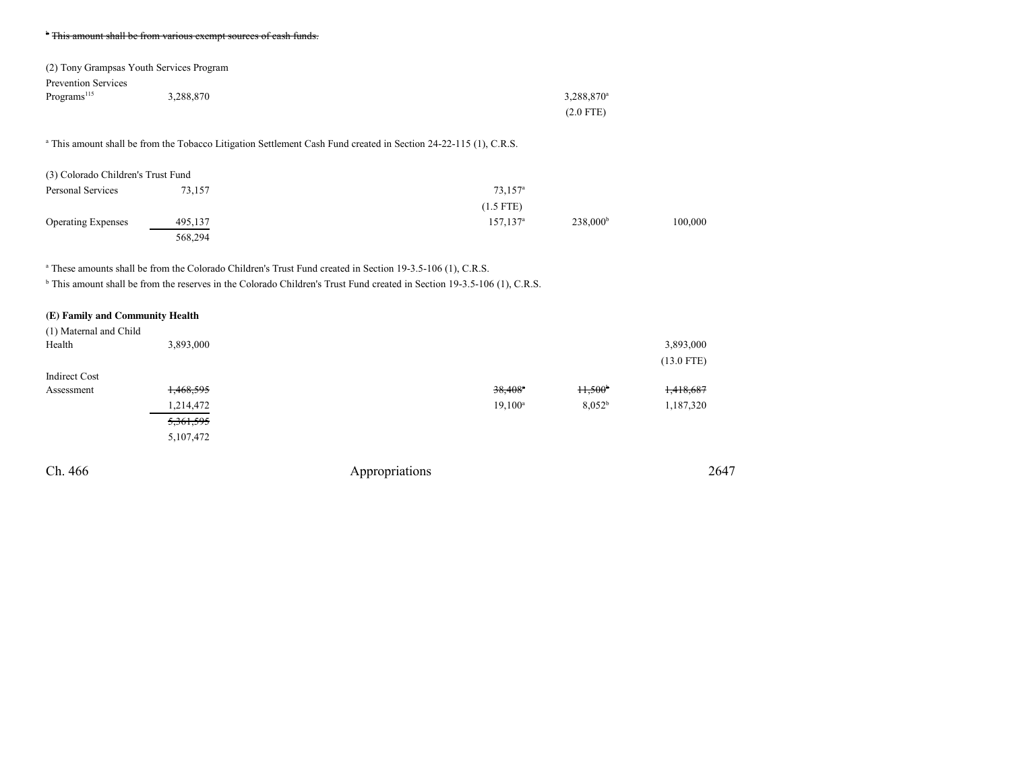#### <sup>b</sup> This amount shall be from various exempt sources of eash funds.

|                            | (2) Tony Grampsas Youth Services Program |               |
|----------------------------|------------------------------------------|---------------|
| <b>Prevention Services</b> |                                          |               |
| Programs <sup>115</sup>    | 3.288.870                                | $3,288,870^a$ |
|                            |                                          | $(2.0$ FTE)   |

## <sup>a</sup> This amount shall be from the Tobacco Litigation Settlement Cash Fund created in Section 24-22-115 (1), C.R.S.

| (3) Colorado Children's Trust Fund |         |                       |                      |         |
|------------------------------------|---------|-----------------------|----------------------|---------|
| Personal Services                  | 73,157  | $73.157$ <sup>a</sup> |                      |         |
|                                    |         | $(1.5$ FTE)           |                      |         |
| <b>Operating Expenses</b>          | 495,137 | $157.137^a$           | 238.000 <sup>b</sup> | 100,000 |
|                                    | 568,294 |                       |                      |         |

<sup>a</sup> These amounts shall be from the Colorado Children's Trust Fund created in Section 19-3.5-106 (1), C.R.S.

<sup>b</sup> This amount shall be from the reserves in the Colorado Children's Trust Fund created in Section 19-3.5-106 (1), C.R.S.

## **(E) Family and Community Health**

| (1) Maternal and Child |           |                |                       |                 |              |
|------------------------|-----------|----------------|-----------------------|-----------------|--------------|
| Health                 | 3,893,000 |                |                       |                 | 3,893,000    |
|                        |           |                |                       |                 | $(13.0$ FTE) |
| <b>Indirect Cost</b>   |           |                |                       |                 |              |
| Assessment             | 1,468,595 |                | $38,408$ <sup>a</sup> | $H,500^{\circ}$ | 1,418,687    |
|                        | 1,214,472 |                | $19,100^a$            | $8,052^b$       | 1,187,320    |
|                        | 5,361,595 |                |                       |                 |              |
|                        | 5,107,472 |                |                       |                 |              |
|                        |           |                |                       |                 |              |
| Ch. 466                |           | Appropriations |                       |                 | 2647         |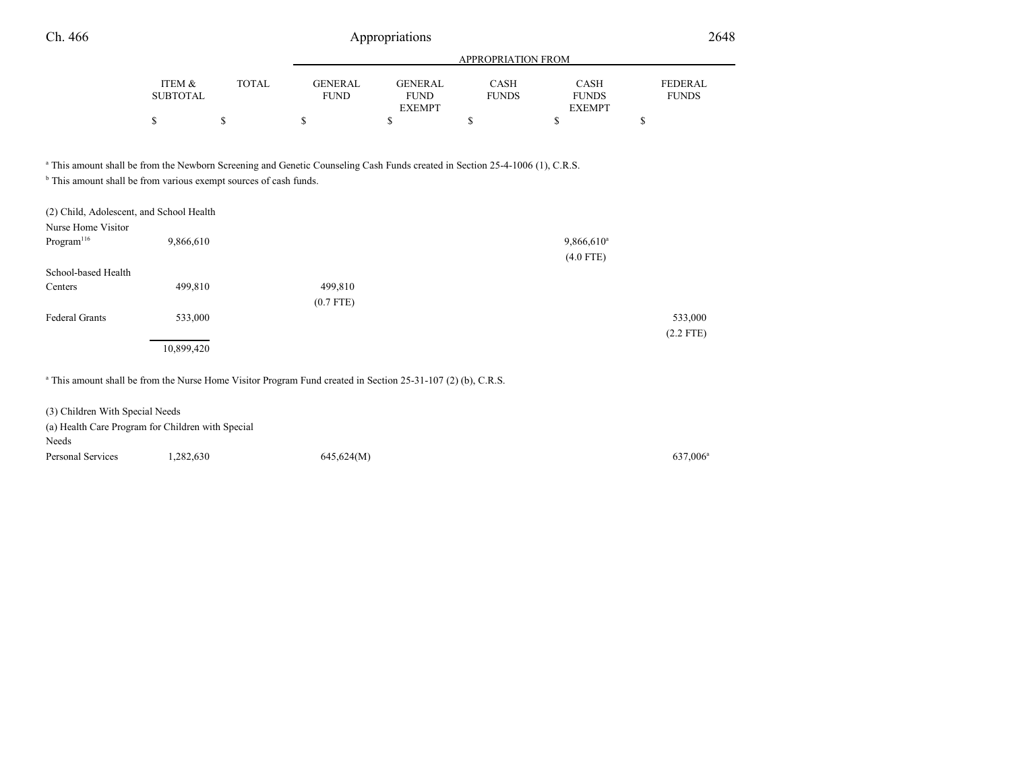| Ch. 466                                                                                                                                                                                                                 |                           | Appropriations |                               |                                                |                             |                                       | 2648                           |  |
|-------------------------------------------------------------------------------------------------------------------------------------------------------------------------------------------------------------------------|---------------------------|----------------|-------------------------------|------------------------------------------------|-----------------------------|---------------------------------------|--------------------------------|--|
|                                                                                                                                                                                                                         |                           |                |                               |                                                | APPROPRIATION FROM          |                                       |                                |  |
|                                                                                                                                                                                                                         | ITEM &<br><b>SUBTOTAL</b> | <b>TOTAL</b>   | <b>GENERAL</b><br><b>FUND</b> | <b>GENERAL</b><br><b>FUND</b><br><b>EXEMPT</b> | <b>CASH</b><br><b>FUNDS</b> | CASH<br><b>FUNDS</b><br><b>EXEMPT</b> | <b>FEDERAL</b><br><b>FUNDS</b> |  |
|                                                                                                                                                                                                                         | \$                        | \$             | \$                            | \$                                             | \$                          | \$                                    | \$                             |  |
| <sup>a</sup> This amount shall be from the Newborn Screening and Genetic Counseling Cash Funds created in Section 25-4-1006 (1), C.R.S.<br><sup>b</sup> This amount shall be from various exempt sources of cash funds. |                           |                |                               |                                                |                             |                                       |                                |  |
| (2) Child, Adolescent, and School Health                                                                                                                                                                                |                           |                |                               |                                                |                             |                                       |                                |  |
| Nurse Home Visitor<br>Program <sup>116</sup>                                                                                                                                                                            | 9,866,610                 |                |                               |                                                |                             | $9,866,610^a$<br>$(4.0$ FTE)          |                                |  |
| School-based Health                                                                                                                                                                                                     |                           |                |                               |                                                |                             |                                       |                                |  |
| Centers                                                                                                                                                                                                                 | 499,810                   |                | 499,810<br>$(0.7$ FTE)        |                                                |                             |                                       |                                |  |
| Federal Grants                                                                                                                                                                                                          | 533,000                   |                |                               |                                                |                             |                                       | 533,000<br>$(2.2$ FTE)         |  |
|                                                                                                                                                                                                                         | 10,899,420                |                |                               |                                                |                             |                                       |                                |  |
| $    -$<br>$\cdots$                                                                                                                                                                                                     | $\sim$                    |                |                               |                                                |                             |                                       |                                |  |

<sup>a</sup> This amount shall be from the Nurse Home Visitor Program Fund created in Section 25-31-107 (2) (b), C.R.S.

| (3) Children With Special Needs                   |          |            |                      |
|---------------------------------------------------|----------|------------|----------------------|
| (a) Health Care Program for Children with Special |          |            |                      |
| Needs                                             |          |            |                      |
| Personal Services                                 | .282,630 | 645,624(M) | 637,006 <sup>a</sup> |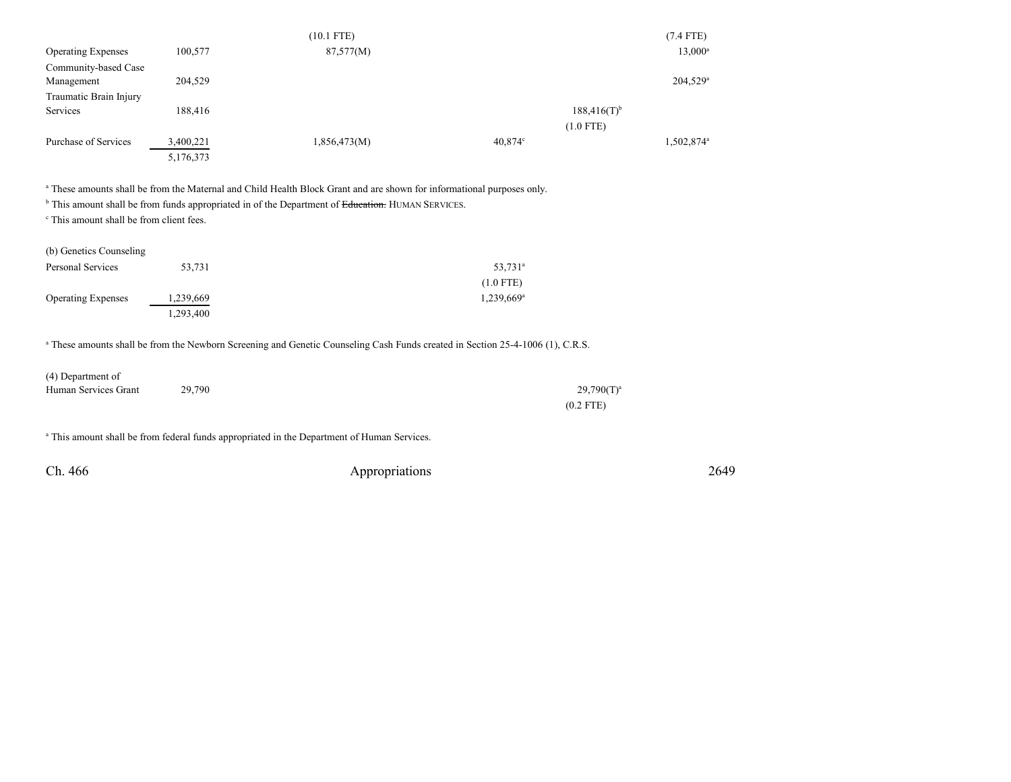|                           |           | $(10.1$ FTE) |                           | $(7.4$ FTE)            |
|---------------------------|-----------|--------------|---------------------------|------------------------|
| <b>Operating Expenses</b> | 100,577   | 87,577(M)    |                           | $13,000^a$             |
| Community-based Case      |           |              |                           |                        |
| Management                | 204,529   |              |                           | 204,529 <sup>a</sup>   |
| Traumatic Brain Injury    |           |              |                           |                        |
| Services                  | 188,416   |              | $188,416(T)$ <sup>b</sup> |                        |
|                           |           |              | $(1.0$ FTE)               |                        |
| Purchase of Services      | 3,400,221 | 1,856,473(M) | $40,874^{\circ}$          | 1,502,874 <sup>a</sup> |
|                           | 5,176,373 |              |                           |                        |

a These amounts shall be from the Maternal and Child Health Block Grant and are shown for informational purposes only.

<sup>b</sup> This amount shall be from funds appropriated in of the Department of <del>Education.</del> HUMAN SERVICES.

c This amount shall be from client fees.

| (b) Genetics Counseling   |           |                          |
|---------------------------|-----------|--------------------------|
| Personal Services         | 53,731    | $53,731^{\circ}$         |
|                           |           | $(1.0$ FTE)              |
| <b>Operating Expenses</b> | 1,239,669 | $1,239,669$ <sup>a</sup> |
|                           | 1,293,400 |                          |

a These amounts shall be from the Newborn Screening and Genetic Counseling Cash Funds created in Section 25-4-1006 (1), C.R.S.

| (4) Department of    |        |               |
|----------------------|--------|---------------|
| Human Services Grant | 29,790 | $29,790(T)^a$ |
|                      |        | $(0.2$ FTE)   |

<sup>a</sup> This amount shall be from federal funds appropriated in the Department of Human Services.

| Ch. 466 | Appropriations | 2649 |
|---------|----------------|------|
|---------|----------------|------|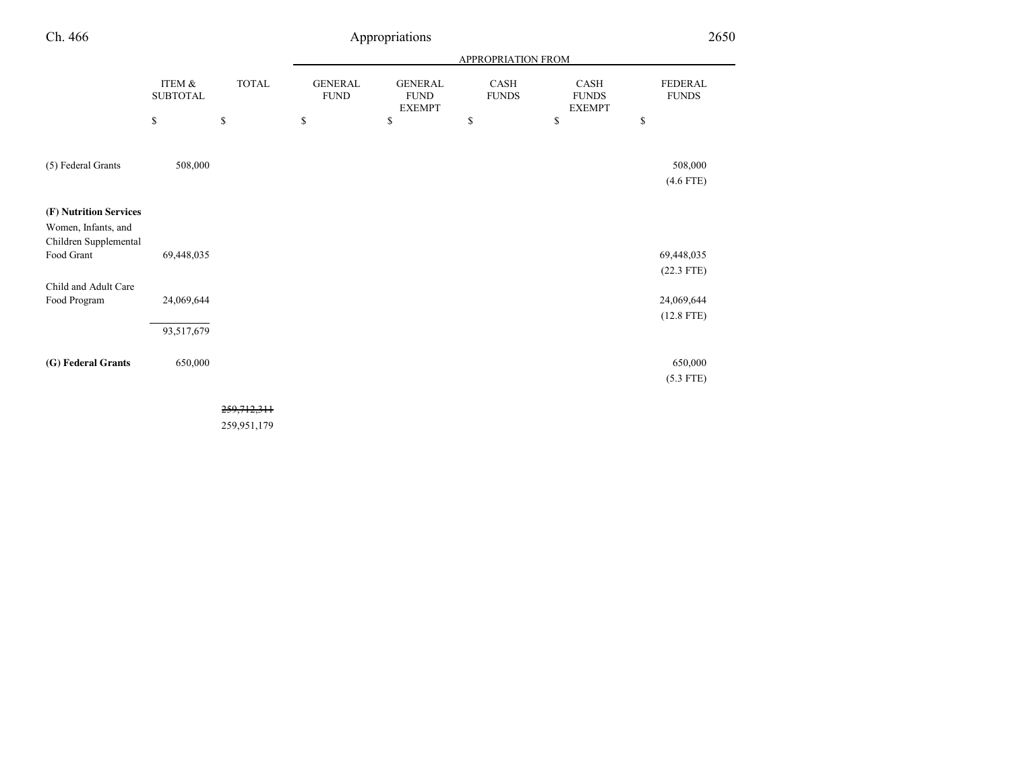| Ch. 466                                                                              |                            |              |                               | Appropriations                                 |                           |                                       | 2650                                       |
|--------------------------------------------------------------------------------------|----------------------------|--------------|-------------------------------|------------------------------------------------|---------------------------|---------------------------------------|--------------------------------------------|
|                                                                                      |                            |              |                               |                                                | <b>APPROPRIATION FROM</b> |                                       |                                            |
|                                                                                      | ITEM &<br>${\tt SUBTOTAL}$ | <b>TOTAL</b> | <b>GENERAL</b><br><b>FUND</b> | <b>GENERAL</b><br><b>FUND</b><br><b>EXEMPT</b> | CASH<br><b>FUNDS</b>      | CASH<br><b>FUNDS</b><br><b>EXEMPT</b> | FEDERAL<br><b>FUNDS</b>                    |
|                                                                                      | \$                         | $\mathbb{S}$ | \$                            | \$                                             | \$                        | \$                                    | $\mathbb{S}$                               |
| (5) Federal Grants                                                                   | 508,000                    |              |                               |                                                |                           |                                       | 508,000<br>$(4.6$ FTE)                     |
| (F) Nutrition Services<br>Women, Infants, and<br>Children Supplemental<br>Food Grant | 69,448,035                 |              |                               |                                                |                           |                                       | 69,448,035                                 |
| Child and Adult Care<br>Food Program                                                 | 24,069,644                 |              |                               |                                                |                           |                                       | $(22.3$ FTE)<br>24,069,644<br>$(12.8$ FTE) |
|                                                                                      | 93,517,679                 |              |                               |                                                |                           |                                       |                                            |
| (G) Federal Grants                                                                   | 650,000                    |              |                               |                                                |                           |                                       | 650,000<br>$(5.3$ FTE)                     |
|                                                                                      |                            | 259,712,311  |                               |                                                |                           |                                       |                                            |

259,951,179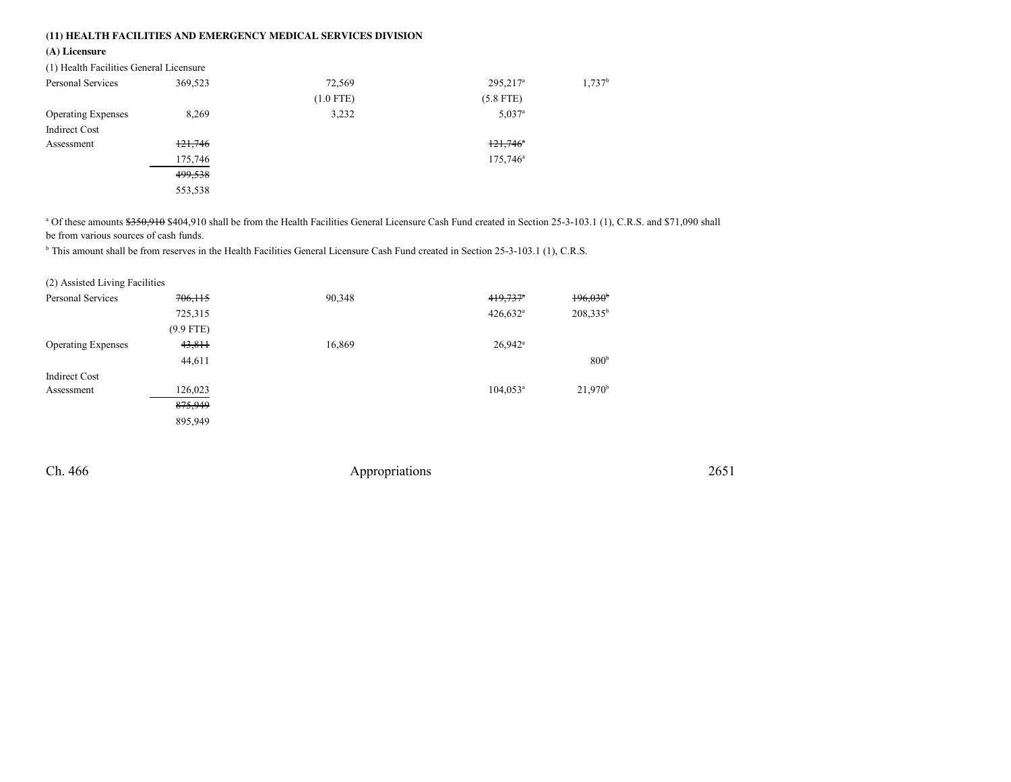## **(11) HEALTH FACILITIES AND EMERGENCY MEDICAL SERVICES DIVISION**

### **(A) Licensure**

| (1) Health Facilities General Licensure |         |             |                        |                      |
|-----------------------------------------|---------|-------------|------------------------|----------------------|
| Personal Services                       | 369,523 | 72,569      | $295,217^a$            | $1,737$ <sup>b</sup> |
|                                         |         | $(1.0$ FTE) | $(5.8$ FTE)            |                      |
| <b>Operating Expenses</b>               | 8,269   | 3,232       | $5.037$ <sup>a</sup>   |                      |
| <b>Indirect Cost</b>                    |         |             |                        |                      |
| Assessment                              | 121,746 |             | $121,746$ <sup>a</sup> |                      |
|                                         | 175,746 |             | $175,746^{\circ}$      |                      |
|                                         | 499,538 |             |                        |                      |
|                                         | 553,538 |             |                        |                      |
|                                         |         |             |                        |                      |

<sup>a</sup> Of these amounts \$350,910 \$404,910 shall be from the Health Facilities General Licensure Cash Fund created in Section 25-3-103.1 (1), C.R.S. and \$71,090 shall be from various sources of cash funds.

<sup>b</sup> This amount shall be from reserves in the Health Facilities General Licensure Cash Fund created in Section 25-3-103.1 (1), C.R.S.

| (2) Assisted Living Facilities |             |        |                        |                       |
|--------------------------------|-------------|--------|------------------------|-----------------------|
| Personal Services              | 706, 115    | 90,348 | $419,737$ <sup>*</sup> | 196,030               |
|                                | 725,315     |        | $426,632^{\circ}$      | $208,335^b$           |
|                                | $(9.9$ FTE) |        |                        |                       |
| <b>Operating Expenses</b>      | 43,811      | 16,869 | $26.942$ <sup>a</sup>  |                       |
|                                | 44,611      |        |                        | 800 <sup>b</sup>      |
| <b>Indirect Cost</b>           |             |        |                        |                       |
| Assessment                     | 126,023     |        | $104.053^a$            | $21,970$ <sup>b</sup> |
|                                | 875,949     |        |                        |                       |
|                                | 895,949     |        |                        |                       |

Ch. 466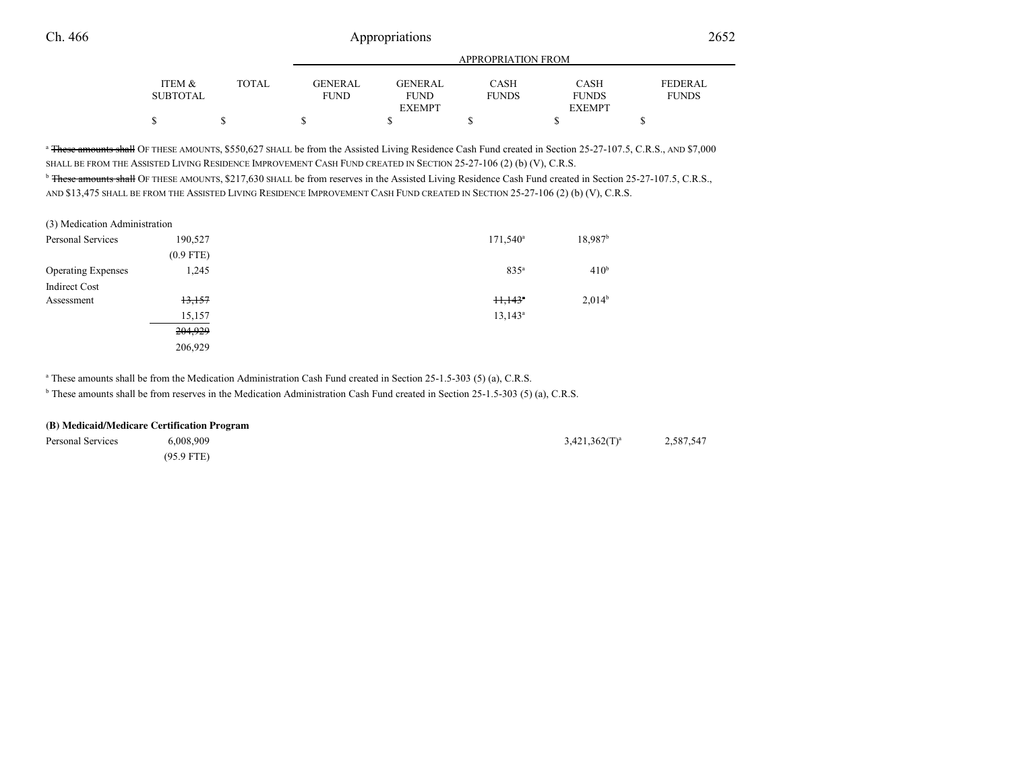|              | <b>APPROPRIATION FROM</b> |                |              |               |                |
|--------------|---------------------------|----------------|--------------|---------------|----------------|
| <b>TOTAL</b> | <b>GENERAL</b>            | <b>GENERAL</b> | CASH         | <b>CASH</b>   | <b>FEDERAL</b> |
|              | <b>FUND</b>               | <b>FUND</b>    | <b>FUNDS</b> | <b>FUNDS</b>  | <b>FUNDS</b>   |
|              |                           | <b>EXEMPT</b>  |              | <b>EXEMPT</b> |                |
|              |                           |                |              |               |                |
|              |                           |                |              |               |                |

<sup>a</sup> <del>These amounts shall</del> OF THESE AMOUNTS, \$550,627 SHALL be from the Assisted Living Residence Cash Fund created in Section 25-27-107.5, C.R.S., AND \$7,000 SHALL BE FROM THE ASSISTED LIVING RESIDENCE IMPROVEMENT CASH FUND CREATED IN SECTION 25-27-106 (2) (b) (V), C.R.S.

<sup>b</sup> These amounts shall OF THESE AMOUNTS, \$217,630 SHALL be from reserves in the Assisted Living Residence Cash Fund created in Section 25-27-107.5, C.R.S., AND \$13,475 SHALL BE FROM THE ASSISTED LIVING RESIDENCE IMPROVEMENT CASH FUND CREATED IN SECTION 25-27-106 (2) (b) (V), C.R.S.

| (3) Medication Administration |             |                                 |                       |
|-------------------------------|-------------|---------------------------------|-----------------------|
| Personal Services             | 190,527     | $171,540^{\circ}$               | $18,987$ <sup>b</sup> |
|                               | $(0.9$ FTE) |                                 |                       |
| <b>Operating Expenses</b>     | 1,245       | 835 <sup>a</sup>                | 410 <sup>b</sup>      |
| <b>Indirect Cost</b>          |             |                                 |                       |
| Assessment                    | 13,157      | $\frac{11.143^{n}}{11.143^{n}}$ | $2,014^b$             |
|                               | 15,157      | $13.143^a$                      |                       |
|                               | 204,929     |                                 |                       |
|                               | 206,929     |                                 |                       |

<sup>a</sup> These amounts shall be from the Medication Administration Cash Fund created in Section 25-1.5-303 (5) (a), C.R.S.

<sup>b</sup> These amounts shall be from reserves in the Medication Administration Cash Fund created in Section 25-1.5-303 (5) (a), C.R.S.

#### **(B) Medicaid/Medicare Certification Program**

| Personal Services | 6,008,909    | $3,421,362(T)^a$ | 2,587,547 |
|-------------------|--------------|------------------|-----------|
|                   | $(95.9$ FTE) |                  |           |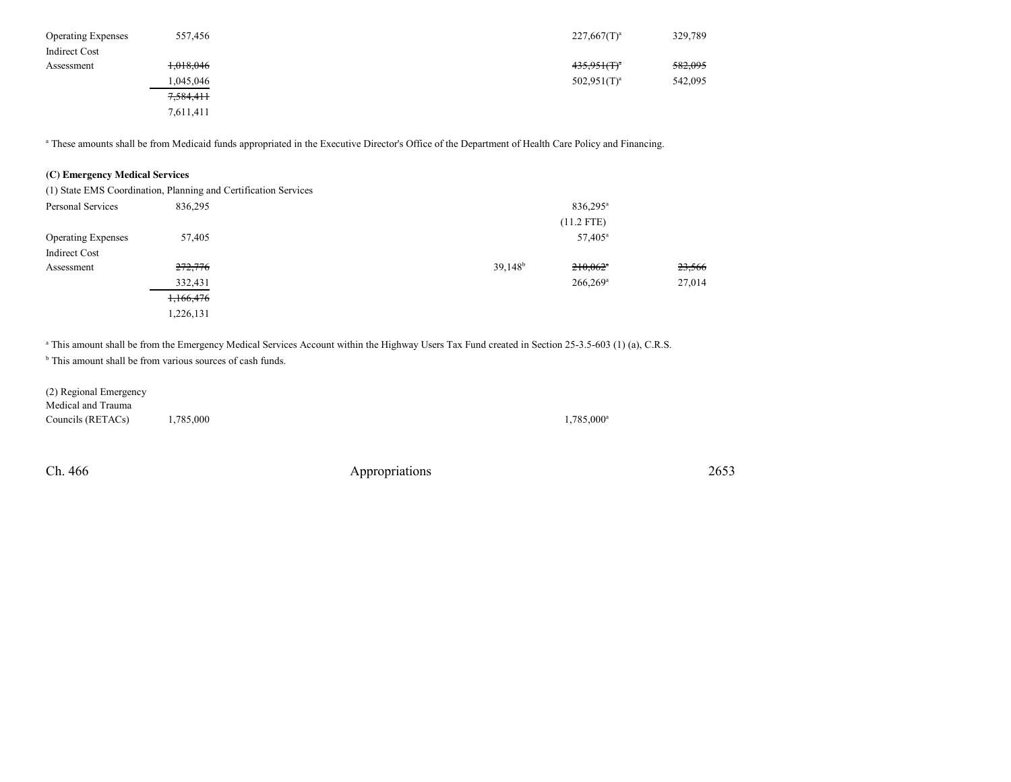| <b>Operating Expenses</b> | 557,456   | $227,667(T)^a$   | 329,789 |
|---------------------------|-----------|------------------|---------|
| <b>Indirect Cost</b>      |           |                  |         |
| Assessment                | 1,018,046 | $435.951(f)^{a}$ | 582,095 |
|                           | 0.045,046 | $502.951(T)^a$   | 542,095 |
|                           | 7,584,411 |                  |         |
|                           | 7,611,411 |                  |         |

<sup>a</sup> These amounts shall be from Medicaid funds appropriated in the Executive Director's Office of the Department of Health Care Policy and Financing.

### **(C) Emergency Medical Services**

|                           | (1) State EMS Coordination, Planning and Certification Services |            |                        |        |  |
|---------------------------|-----------------------------------------------------------------|------------|------------------------|--------|--|
| Personal Services         | 836.295                                                         |            | 836,295 <sup>a</sup>   |        |  |
|                           |                                                                 |            | $(11.2$ FTE)           |        |  |
| <b>Operating Expenses</b> | 57,405                                                          |            | 57,405 <sup>a</sup>    |        |  |
| <b>Indirect Cost</b>      |                                                                 |            |                        |        |  |
| Assessment                | 272,776                                                         | $39,148^b$ | $210,062$ <sup>a</sup> | 23,566 |  |
|                           | 332,431                                                         |            | $266,269$ <sup>a</sup> | 27,014 |  |
|                           | 1,166,476                                                       |            |                        |        |  |
|                           | 1,226,131                                                       |            |                        |        |  |

<sup>a</sup> This amount shall be from the Emergency Medical Services Account within the Highway Users Tax Fund created in Section 25-3.5-603 (1) (a), C.R.S.

<sup>b</sup> This amount shall be from various sources of cash funds.

(2) Regional EmergencyMedical and TraumaCouncils (RETACs)  $1,785,000$   $1,785,000$ 

Ch. 466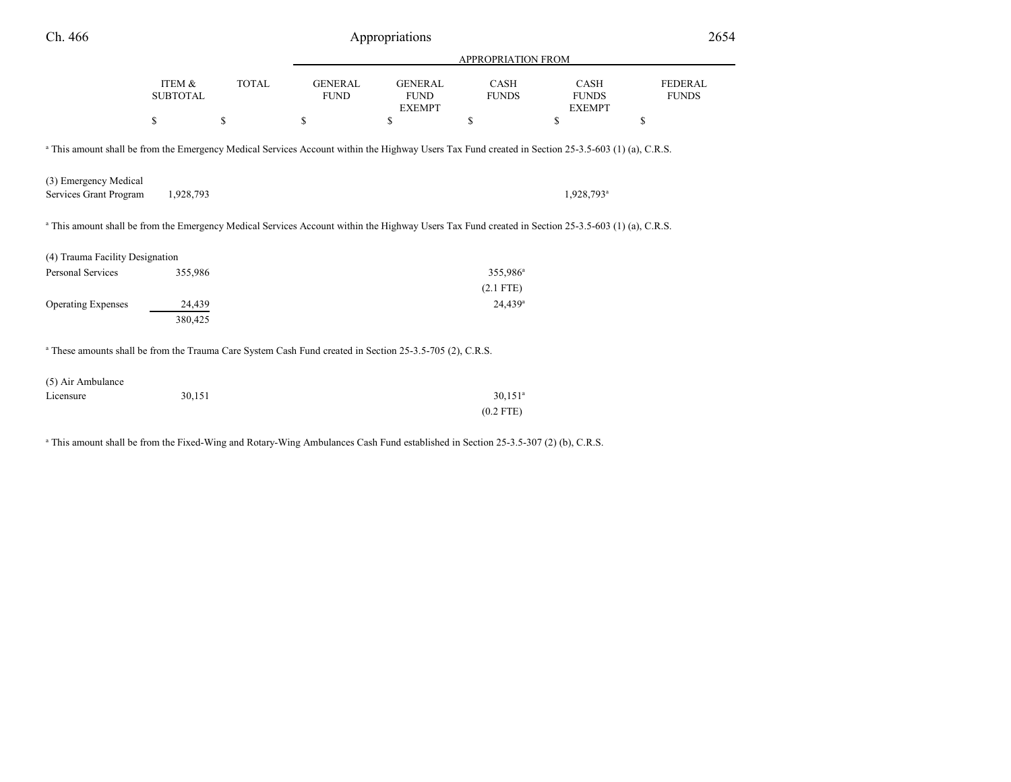| Ch. 466                                                                                                                                                       |                           |              |                               | Appropriations                                 |                             |                                              | 2654                           |
|---------------------------------------------------------------------------------------------------------------------------------------------------------------|---------------------------|--------------|-------------------------------|------------------------------------------------|-----------------------------|----------------------------------------------|--------------------------------|
|                                                                                                                                                               |                           |              |                               |                                                | <b>APPROPRIATION FROM</b>   |                                              |                                |
|                                                                                                                                                               | ITEM &<br><b>SUBTOTAL</b> | <b>TOTAL</b> | <b>GENERAL</b><br><b>FUND</b> | <b>GENERAL</b><br><b>FUND</b><br><b>EXEMPT</b> | <b>CASH</b><br><b>FUNDS</b> | <b>CASH</b><br><b>FUNDS</b><br><b>EXEMPT</b> | <b>FEDERAL</b><br><b>FUNDS</b> |
|                                                                                                                                                               | \$                        | \$           | \$                            | <sup>\$</sup>                                  | \$                          | \$                                           | \$                             |
| <sup>a</sup> This amount shall be from the Emergency Medical Services Account within the Highway Users Tax Fund created in Section 25-3.5-603 (1) (a), C.R.S. |                           |              |                               |                                                |                             |                                              |                                |
| (3) Emergency Medical<br>Services Grant Program                                                                                                               | 1,928,793                 |              |                               |                                                |                             | 1,928,793 <sup>a</sup>                       |                                |
| <sup>a</sup> This amount shall be from the Emergency Medical Services Account within the Highway Users Tax Fund created in Section 25-3.5-603 (1) (a), C.R.S. |                           |              |                               |                                                |                             |                                              |                                |
| (4) Trauma Facility Designation                                                                                                                               |                           |              |                               |                                                |                             |                                              |                                |
| Personal Services                                                                                                                                             | 355,986                   |              |                               |                                                | 355,986 <sup>a</sup>        |                                              |                                |
|                                                                                                                                                               |                           |              |                               |                                                | $(2.1$ FTE)                 |                                              |                                |
| <b>Operating Expenses</b>                                                                                                                                     | 24,439<br>380,425         |              |                               |                                                | $24,439$ <sup>a</sup>       |                                              |                                |
| <sup>a</sup> These amounts shall be from the Trauma Care System Cash Fund created in Section 25-3.5-705 (2), C.R.S.                                           |                           |              |                               |                                                |                             |                                              |                                |
| (5) Air Ambulance                                                                                                                                             |                           |              |                               |                                                |                             |                                              |                                |
| Licensure                                                                                                                                                     | 30,151                    |              |                               |                                                | $30,151$ <sup>a</sup>       |                                              |                                |
|                                                                                                                                                               |                           |              |                               |                                                | $(0.2$ FTE)                 |                                              |                                |
|                                                                                                                                                               |                           |              |                               |                                                |                             |                                              |                                |

<sup>a</sup> This amount shall be from the Fixed-Wing and Rotary-Wing Ambulances Cash Fund established in Section 25-3.5-307 (2) (b), C.R.S.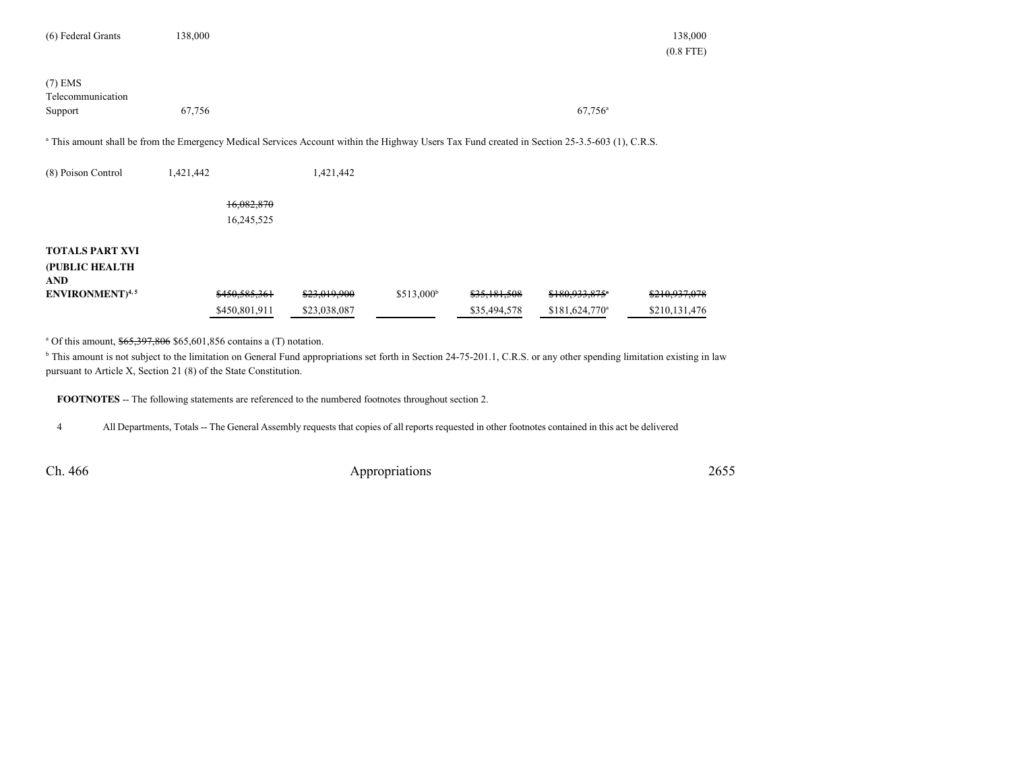| (6) Federal Grants                                     | 138,000                                                                                                                                                   |                              |                         |                              |                                    | 138,000<br>$(0.8$ FTE)         |
|--------------------------------------------------------|-----------------------------------------------------------------------------------------------------------------------------------------------------------|------------------------------|-------------------------|------------------------------|------------------------------------|--------------------------------|
| $(7)$ EMS<br>Telecommunication<br>Support              | 67,756                                                                                                                                                    |                              |                         |                              | $67,756$ <sup>a</sup>              |                                |
|                                                        | <sup>a</sup> This amount shall be from the Emergency Medical Services Account within the Highway Users Tax Fund created in Section 25-3.5-603 (1), C.R.S. |                              |                         |                              |                                    |                                |
| (8) Poison Control                                     | 1,421,442                                                                                                                                                 | 1,421,442                    |                         |                              |                                    |                                |
|                                                        | 16,082,870                                                                                                                                                |                              |                         |                              |                                    |                                |
|                                                        | 16,245,525                                                                                                                                                |                              |                         |                              |                                    |                                |
| <b>TOTALS PART XVI</b><br>(PUBLIC HEALTH<br><b>AND</b> |                                                                                                                                                           |                              |                         |                              |                                    |                                |
| ENVIRONMENT) <sup>4,5</sup>                            | \$450,585,361<br>\$450,801,911                                                                                                                            | \$23,019,900<br>\$23,038,087 | $$513,000$ <sup>b</sup> | \$35,181,508<br>\$35,494,578 | \$180,933,875*<br>$$181,624,770^a$ | \$210,937,078<br>\$210,131,476 |

<sup>a</sup> Of this amount,  $\frac{$65,397,806}{0.5601,856}$  contains a (T) notation.

<sup>b</sup> This amount is not subject to the limitation on General Fund appropriations set forth in Section 24-75-201.1, C.R.S. or any other spending limitation existing in law pursuant to Article X, Section 21 (8) of the State Constitution.

**FOOTNOTES** -- The following statements are referenced to the numbered footnotes throughout section 2.

<sup>4</sup> All Departments, Totals -- The General Assembly requests that copies of all reports requested in other footnotes contained in this act be delivered

Ch. 466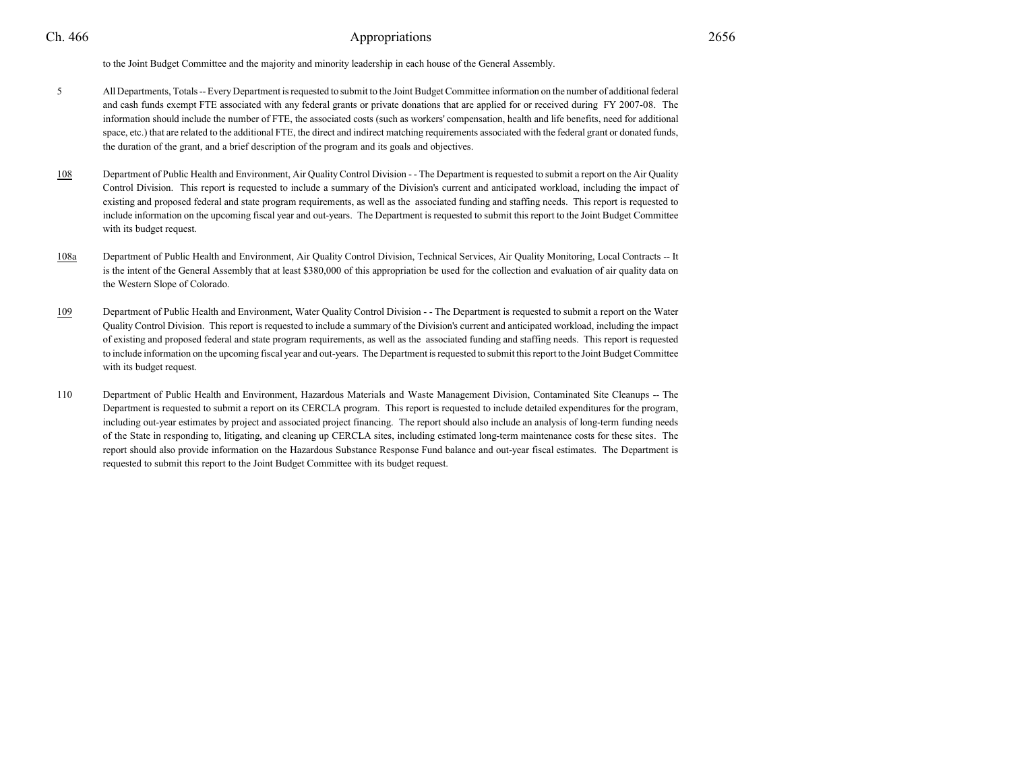# Appropriations <sup>2656</sup>

to the Joint Budget Committee and the majority and minority leadership in each house of the General Assembly.

- <sup>5</sup> All Departments, Totals -- Every Department is requested to submit to the Joint Budget Committee information on the number of additional federal and cash funds exempt FTE associated with any federal grants or private donations that are applied for or received during FY 2007-08. The information should include the number of FTE, the associated costs (such as workers' compensation, health and life benefits, need for additionalspace, etc.) that are related to the additional FTE, the direct and indirect matching requirements associated with the federal grant or donated funds, the duration of the grant, and a brief description of the program and its goals and objectives.
- 108 Department of Public Health and Environment, Air Quality Control Division - - The Department is requested to submit a report on the Air Quality Control Division. This report is requested to include a summary of the Division's current and anticipated workload, including the impact ofexisting and proposed federal and state program requirements, as well as the associated funding and staffing needs. This report is requested to include information on the upcoming fiscal year and out-years. The Department is requested to submit this report to the Joint Budget Committeewith its budget request.
- 108a Department of Public Health and Environment, Air Quality Control Division, Technical Services, Air Quality Monitoring, Local Contracts -- It is the intent of the General Assembly that at least \$380,000 of this appropriation be used for the collection and evaluation of air quality data onthe Western Slope of Colorado.
- 109 Department of Public Health and Environment, Water Quality Control Division - - The Department is requested to submit a report on the Water Quality Control Division. This report is requested to include a summary of the Division's current and anticipated workload, including the impactof existing and proposed federal and state program requirements, as well as the associated funding and staffing needs. This report is requested to include information on the upcoming fiscal year and out-years. The Department is requested to submit this report to the Joint Budget Committeewith its budget request.
- <sup>110</sup> Department of Public Health and Environment, Hazardous Materials and Waste Management Division, Contaminated Site Cleanups -- The Department is requested to submit a report on its CERCLA program. This report is requested to include detailed expenditures for the program,including out-year estimates by project and associated project financing. The report should also include an analysis of long-term funding needs of the State in responding to, litigating, and cleaning up CERCLA sites, including estimated long-term maintenance costs for these sites. The report should also provide information on the Hazardous Substance Response Fund balance and out-year fiscal estimates. The Department isrequested to submit this report to the Joint Budget Committee with its budget request.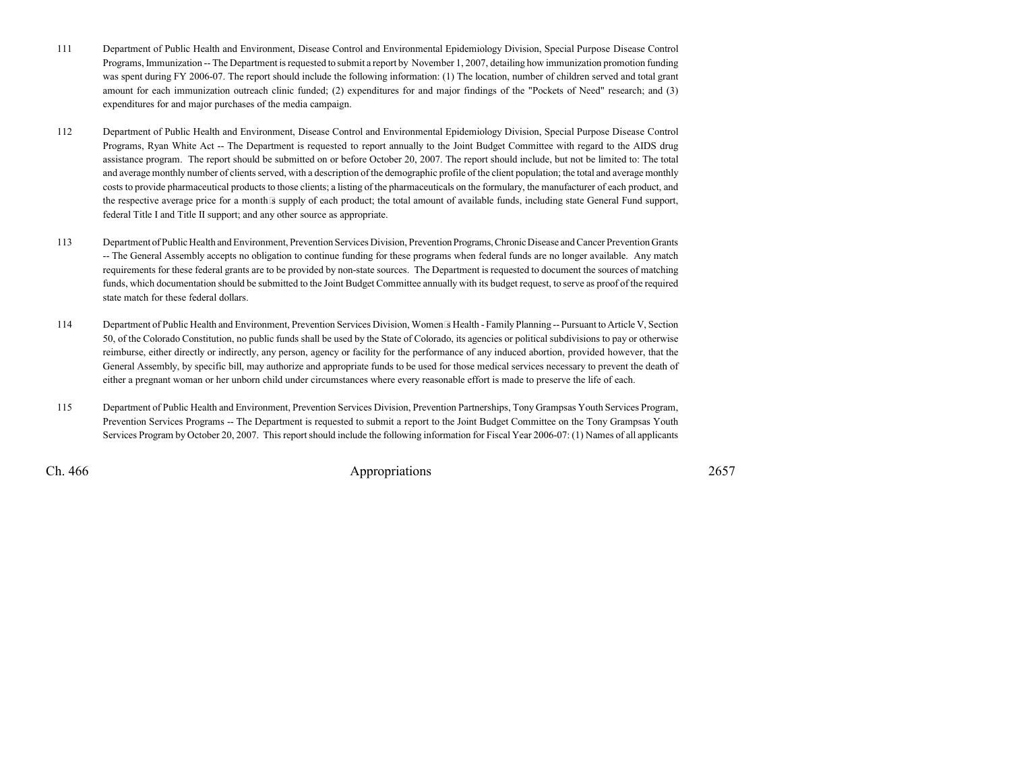- <sup>111</sup> Department of Public Health and Environment, Disease Control and Environmental Epidemiology Division, Special Purpose Disease Control Programs, Immunization -- The Department is requested to submit a report by November 1, 2007, detailing how immunization promotion funding was spent during FY 2006-07. The report should include the following information: (1) The location, number of children served and total grantamount for each immunization outreach clinic funded; (2) expenditures for and major findings of the "Pockets of Need" research; and (3)expenditures for and major purchases of the media campaign.
- <sup>112</sup> Department of Public Health and Environment, Disease Control and Environmental Epidemiology Division, Special Purpose Disease Control Programs, Ryan White Act -- The Department is requested to report annually to the Joint Budget Committee with regard to the AIDS drug assistance program. The report should be submitted on or before October 20, 2007. The report should include, but not be limited to: The totaland average monthly number of clients served, with a description of the demographic profile of the client population; the total and average monthly costs to provide pharmaceutical products to those clients; a listing of the pharmaceuticals on the formulary, the manufacturer of each product, andthe respective average price for a month s supply of each product; the total amount of available funds, including state General Fund support, federal Title I and Title II support; and any other source as appropriate.
- <sup>113</sup> Department of Public Health and Environment, Prevention Services Division, Prevention Programs, Chronic Disease and Cancer Prevention Grants -- The General Assembly accepts no obligation to continue funding for these programs when federal funds are no longer available. Any match requirements for these federal grants are to be provided by non-state sources. The Department is requested to document the sources of matching funds, which documentation should be submitted to the Joint Budget Committee annually with its budget request, to serve as proof of the requiredstate match for these federal dollars.
- <sup>114</sup> Department of Public Health and Environment, Prevention Services Division, Womens Health Family Planning -- Pursuant to Article V, Section 50, of the Colorado Constitution, no public funds shall be used by the State of Colorado, its agencies or political subdivisions to pay or otherwise reimburse, either directly or indirectly, any person, agency or facility for the performance of any induced abortion, provided however, that the General Assembly, by specific bill, may authorize and appropriate funds to be used for those medical services necessary to prevent the death ofeither a pregnant woman or her unborn child under circumstances where every reasonable effort is made to preserve the life of each.
- <sup>115</sup> Department of Public Health and Environment, Prevention Services Division, Prevention Partnerships, Tony Grampsas Youth Services Program, Prevention Services Programs -- The Department is requested to submit a report to the Joint Budget Committee on the Tony Grampsas Youth Services Program by October 20, 2007. This report should include the following information for Fiscal Year 2006-07: (1) Names of all applicants

Ch. 466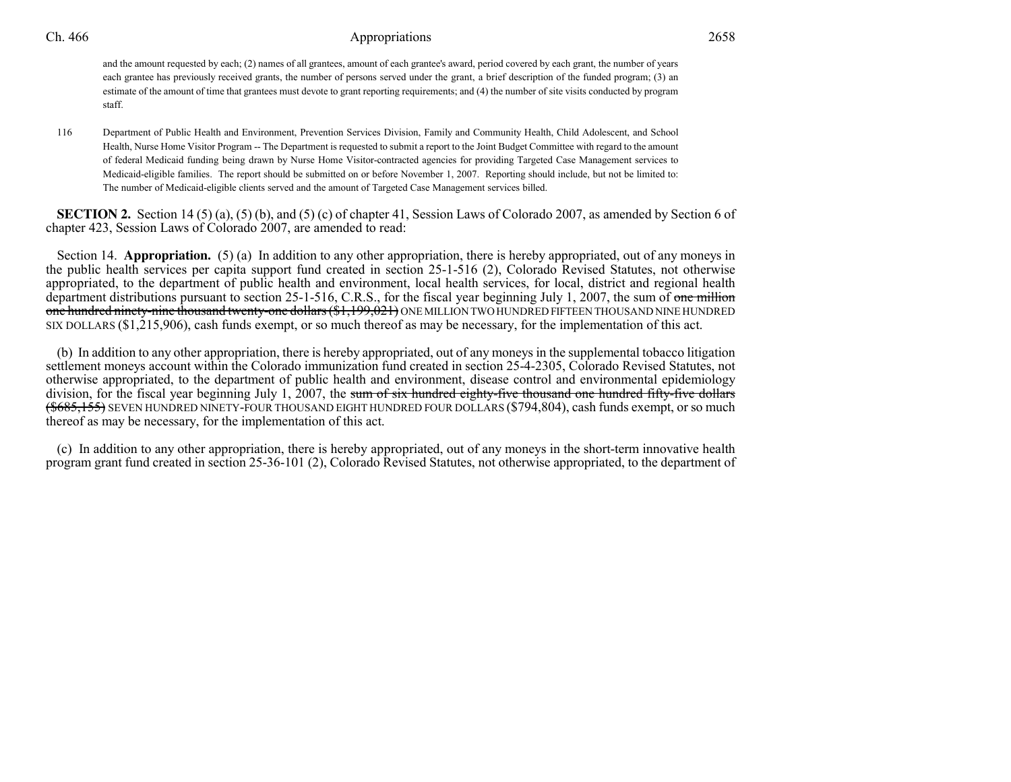# 6 **Appropriations** 2658

and the amount requested by each; (2) names of all grantees, amount of each grantee's award, period covered by each grant, the number of years each grantee has previously received grants, the number of persons served under the grant, a brief description of the funded program; (3) an estimate of the amount of time that grantees must devote to grant reporting requirements; and (4) the number of site visits conducted by programstaff.

<sup>116</sup> Department of Public Health and Environment, Prevention Services Division, Family and Community Health, Child Adolescent, and School Health, Nurse Home Visitor Program -- The Department is requested to submit a report to the Joint Budget Committee with regard to the amountof federal Medicaid funding being drawn by Nurse Home Visitor-contracted agencies for providing Targeted Case Management services to Medicaid-eligible families. The report should be submitted on or before November 1, 2007. Reporting should include, but not be limited to:The number of Medicaid-eligible clients served and the amount of Targeted Case Management services billed.

**SECTION 2.** Section 14 (5) (a), (5) (b), and (5) (c) of chapter 41, Session Laws of Colorado 2007, as amended by Section 6 of chapter 423, Session Laws of Colorado 2007, are amended to read:

Section 14. **Appropriation.** (5) (a) In addition to any other appropriation, there is hereby appropriated, out of any moneys in the public health services per capita support fund created in section 25-1-516 (2), Colorado Revised Statutes, not otherwise appropriated, to the department of public health and environment, local health services, for local, district and regional healthdepartment distributions pursuant to section 25-1-516, C.R.S., for the fiscal year beginning July 1, 2007, the sum of <del>one million</del> <del>one hundred ninety-nine thousand twenty-one dollars (\$1,199,021)</del> ONE MILLION TWO HUNDRED FIFTEEN THOUSAND NINE HUNDRED SIX DOLLARS (\$1,215,906), cash funds exempt, or so much thereof as may be necessary, for the implementation of this act.

(b) In addition to any other appropriation, there is hereby appropriated, out of any moneys in the supplemental tobacco litigation settlement moneys account within the Colorado immunization fund created in section 25-4-2305, Colorado Revised Statutes, not otherwise appropriated, to the department of public health and environment, disease control and environmental epidemiologydivision, for the fiscal year beginning July 1, 2007, the <del>sum of six hundred eighty-five thousand one hundred fifty-five dollars</del> (<del>\$685,155)</del> SEVEN HUNDRED NINETY-FOUR THOUSAND EIGHT HUNDRED FOUR DOLLARS (\$794,804), cash funds exempt, or so much thereof as may be necessary, for the implementation of this act.

(c) In addition to any other appropriation, there is hereby appropriated, out of any moneys in the short-term innovative healthprogram grant fund created in section 25-36-101 (2), Colorado Revised Statutes, not otherwise appropriated, to the department of